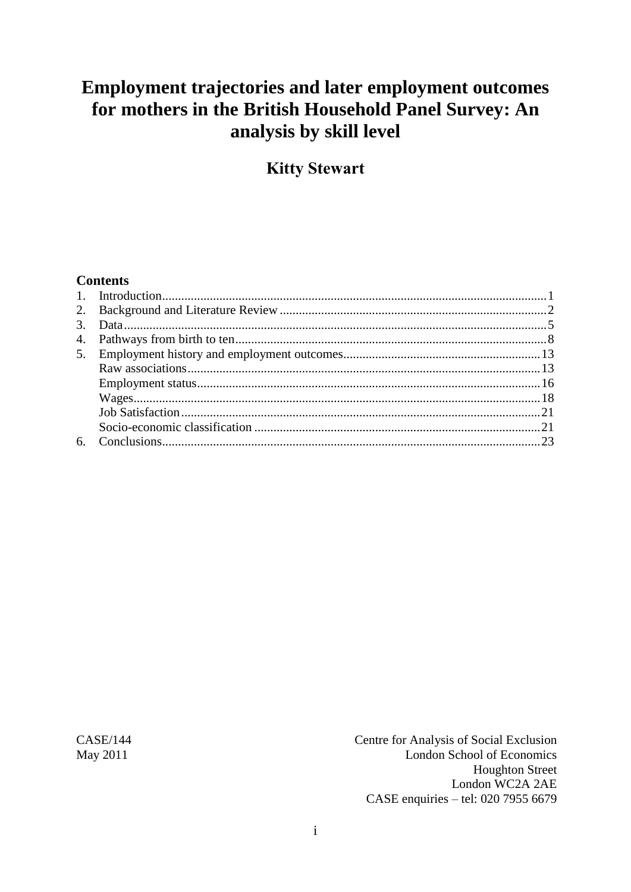# **Employment trajectories and later employment outcomes** for mothers in the British Household Panel Survey: An analysis by skill level

## **Kitty Stewart**

#### **Contents**

 $CASE/144$ May 2011

Centre for Analysis of Social Exclusion London School of Economics **Houghton Street** London WC2A 2AE CASE enquiries - tel: 020 7955 6679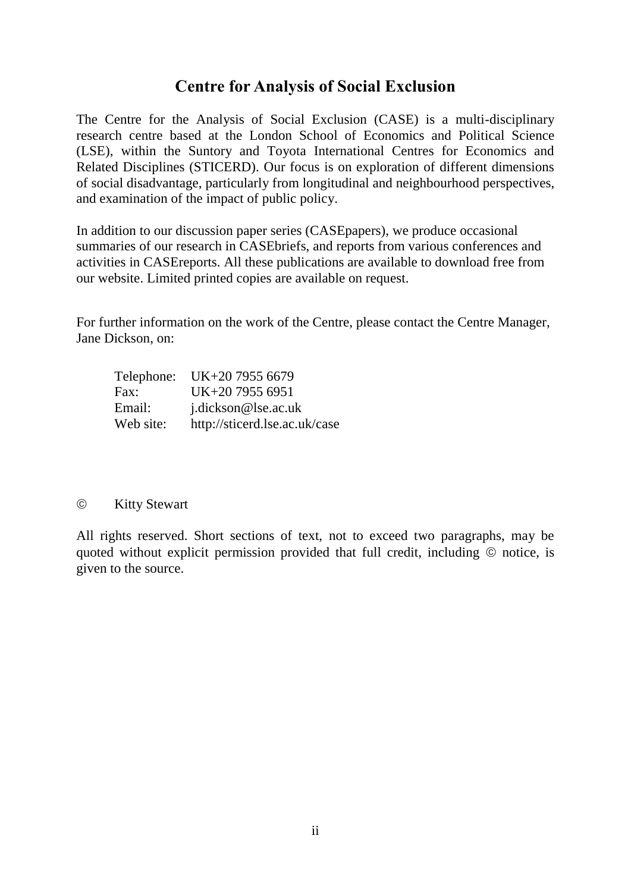## **Centre for Analysis of Social Exclusion**

The Centre for the Analysis of Social Exclusion (CASE) is a multi-disciplinary research centre based at the London School of Economics and Political Science (LSE), within the Suntory and Toyota International Centres for Economics and Related Disciplines (STICERD). Our focus is on exploration of different dimensions of social disadvantage, particularly from longitudinal and neighbourhood perspectives, and examination of the impact of public policy.

In addition to our discussion paper series (CASEpapers), we produce occasional summaries of our research in CASEbriefs, and reports from various conferences and activities in CASEreports. All these publications are available to download free from our website. Limited printed copies are available on request.

For further information on the work of the Centre, please contact the Centre Manager, Jane Dickson, on:

|           | Telephone: UK+20 7955 6679    |
|-----------|-------------------------------|
| Fax:      | UK+2079556951                 |
| Email:    | j.dickson@lse.ac.uk           |
| Web site: | http://sticerd.lse.ac.uk/case |

#### Kitty Stewart

All rights reserved. Short sections of text, not to exceed two paragraphs, may be quoted without explicit permission provided that full credit, including  $\odot$  notice, is given to the source.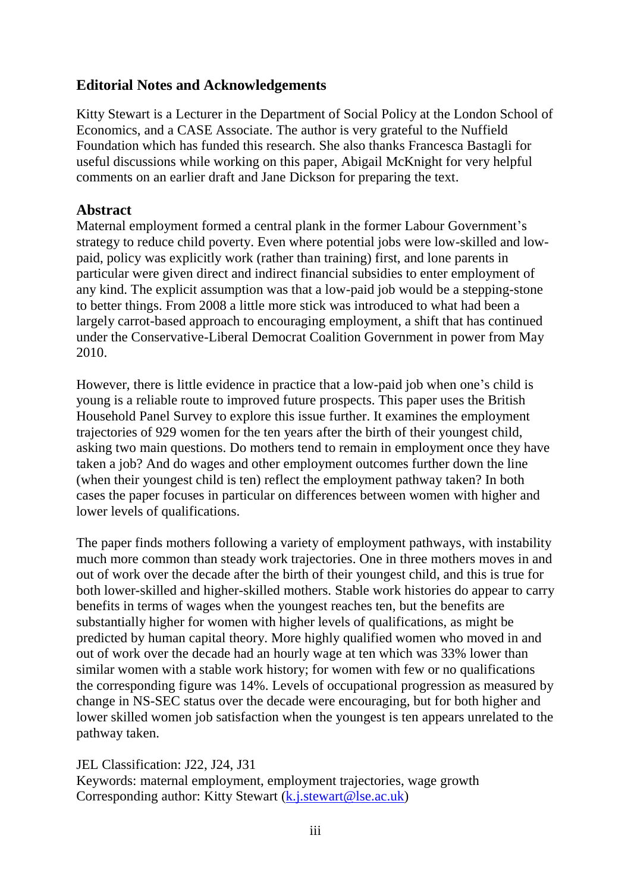## **Editorial Notes and Acknowledgements**

Kitty Stewart is a Lecturer in the Department of Social Policy at the London School of Economics, and a CASE Associate. The author is very grateful to the Nuffield Foundation which has funded this research. She also thanks Francesca Bastagli for useful discussions while working on this paper, Abigail McKnight for very helpful comments on an earlier draft and Jane Dickson for preparing the text.

## **Abstract**

Maternal employment formed a central plank in the former Labour Government's strategy to reduce child poverty. Even where potential jobs were low-skilled and lowpaid, policy was explicitly work (rather than training) first, and lone parents in particular were given direct and indirect financial subsidies to enter employment of any kind. The explicit assumption was that a low-paid job would be a stepping-stone to better things. From 2008 a little more stick was introduced to what had been a largely carrot-based approach to encouraging employment, a shift that has continued under the Conservative-Liberal Democrat Coalition Government in power from May 2010.

However, there is little evidence in practice that a low-paid job when one"s child is young is a reliable route to improved future prospects. This paper uses the British Household Panel Survey to explore this issue further. It examines the employment trajectories of 929 women for the ten years after the birth of their youngest child, asking two main questions. Do mothers tend to remain in employment once they have taken a job? And do wages and other employment outcomes further down the line (when their youngest child is ten) reflect the employment pathway taken? In both cases the paper focuses in particular on differences between women with higher and lower levels of qualifications.

The paper finds mothers following a variety of employment pathways, with instability much more common than steady work trajectories. One in three mothers moves in and out of work over the decade after the birth of their youngest child, and this is true for both lower-skilled and higher-skilled mothers. Stable work histories do appear to carry benefits in terms of wages when the youngest reaches ten, but the benefits are substantially higher for women with higher levels of qualifications, as might be predicted by human capital theory. More highly qualified women who moved in and out of work over the decade had an hourly wage at ten which was 33% lower than similar women with a stable work history; for women with few or no qualifications the corresponding figure was 14%. Levels of occupational progression as measured by change in NS-SEC status over the decade were encouraging, but for both higher and lower skilled women job satisfaction when the youngest is ten appears unrelated to the pathway taken.

JEL Classification: J22, J24, J31

Keywords: maternal employment, employment trajectories, wage growth Corresponding author: Kitty Stewart [\(k.j.stewart@lse.ac.uk\)](mailto:k.j.stewart@lse.ac.uk)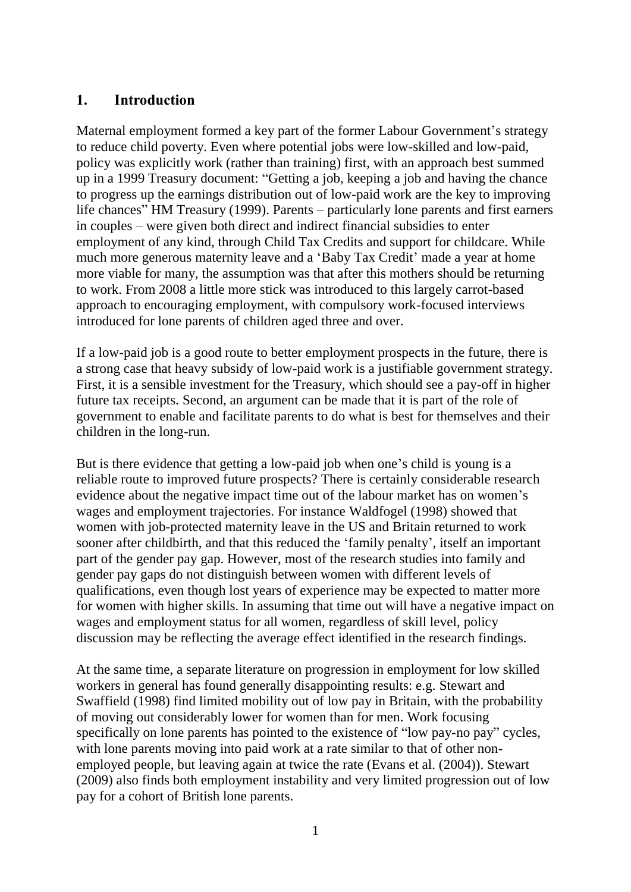## <span id="page-3-0"></span>**1. Introduction**

Maternal employment formed a key part of the former Labour Government's strategy to reduce child poverty. Even where potential jobs were low-skilled and low-paid, policy was explicitly work (rather than training) first, with an approach best summed up in a 1999 Treasury document: "Getting a job, keeping a job and having the chance to progress up the earnings distribution out of low-paid work are the key to improving life chances" HM Treasury (1999). Parents – particularly lone parents and first earners in couples – were given both direct and indirect financial subsidies to enter employment of any kind, through Child Tax Credits and support for childcare. While much more generous maternity leave and a 'Baby Tax Credit' made a year at home more viable for many, the assumption was that after this mothers should be returning to work. From 2008 a little more stick was introduced to this largely carrot-based approach to encouraging employment, with compulsory work-focused interviews introduced for lone parents of children aged three and over.

If a low-paid job is a good route to better employment prospects in the future, there is a strong case that heavy subsidy of low-paid work is a justifiable government strategy. First, it is a sensible investment for the Treasury, which should see a pay-off in higher future tax receipts. Second, an argument can be made that it is part of the role of government to enable and facilitate parents to do what is best for themselves and their children in the long-run.

But is there evidence that getting a low-paid job when one"s child is young is a reliable route to improved future prospects? There is certainly considerable research evidence about the negative impact time out of the labour market has on women"s wages and employment trajectories. For instance Waldfogel (1998) showed that women with job-protected maternity leave in the US and Britain returned to work sooner after childbirth, and that this reduced the "family penalty", itself an important part of the gender pay gap. However, most of the research studies into family and gender pay gaps do not distinguish between women with different levels of qualifications, even though lost years of experience may be expected to matter more for women with higher skills. In assuming that time out will have a negative impact on wages and employment status for all women, regardless of skill level, policy discussion may be reflecting the average effect identified in the research findings.

At the same time, a separate literature on progression in employment for low skilled workers in general has found generally disappointing results: e.g. Stewart and Swaffield (1998) find limited mobility out of low pay in Britain, with the probability of moving out considerably lower for women than for men. Work focusing specifically on lone parents has pointed to the existence of "low pay-no pay" cycles, with lone parents moving into paid work at a rate similar to that of other nonemployed people, but leaving again at twice the rate (Evans et al. (2004)). Stewart (2009) also finds both employment instability and very limited progression out of low pay for a cohort of British lone parents.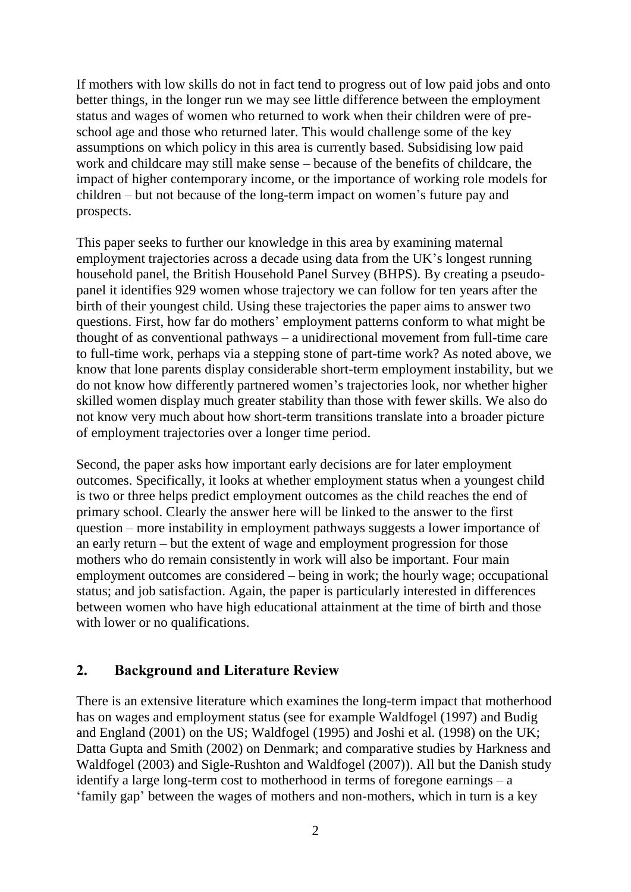If mothers with low skills do not in fact tend to progress out of low paid jobs and onto better things, in the longer run we may see little difference between the employment status and wages of women who returned to work when their children were of preschool age and those who returned later. This would challenge some of the key assumptions on which policy in this area is currently based. Subsidising low paid work and childcare may still make sense – because of the benefits of childcare, the impact of higher contemporary income, or the importance of working role models for children – but not because of the long-term impact on women"s future pay and prospects.

This paper seeks to further our knowledge in this area by examining maternal employment trajectories across a decade using data from the UK's longest running household panel, the British Household Panel Survey (BHPS). By creating a pseudopanel it identifies 929 women whose trajectory we can follow for ten years after the birth of their youngest child. Using these trajectories the paper aims to answer two questions. First, how far do mothers" employment patterns conform to what might be thought of as conventional pathways – a unidirectional movement from full-time care to full-time work, perhaps via a stepping stone of part-time work? As noted above, we know that lone parents display considerable short-term employment instability, but we do not know how differently partnered women"s trajectories look, nor whether higher skilled women display much greater stability than those with fewer skills. We also do not know very much about how short-term transitions translate into a broader picture of employment trajectories over a longer time period.

Second, the paper asks how important early decisions are for later employment outcomes. Specifically, it looks at whether employment status when a youngest child is two or three helps predict employment outcomes as the child reaches the end of primary school. Clearly the answer here will be linked to the answer to the first question – more instability in employment pathways suggests a lower importance of an early return – but the extent of wage and employment progression for those mothers who do remain consistently in work will also be important. Four main employment outcomes are considered – being in work; the hourly wage; occupational status; and job satisfaction. Again, the paper is particularly interested in differences between women who have high educational attainment at the time of birth and those with lower or no qualifications.

### <span id="page-4-0"></span>**2. Background and Literature Review**

There is an extensive literature which examines the long-term impact that motherhood has on wages and employment status (see for example Waldfogel (1997) and Budig and England (2001) on the US; Waldfogel (1995) and Joshi et al. (1998) on the UK; Datta Gupta and Smith (2002) on Denmark; and comparative studies by Harkness and Waldfogel (2003) and Sigle-Rushton and Waldfogel (2007)). All but the Danish study identify a large long-term cost to motherhood in terms of foregone earnings – a "family gap" between the wages of mothers and non-mothers, which in turn is a key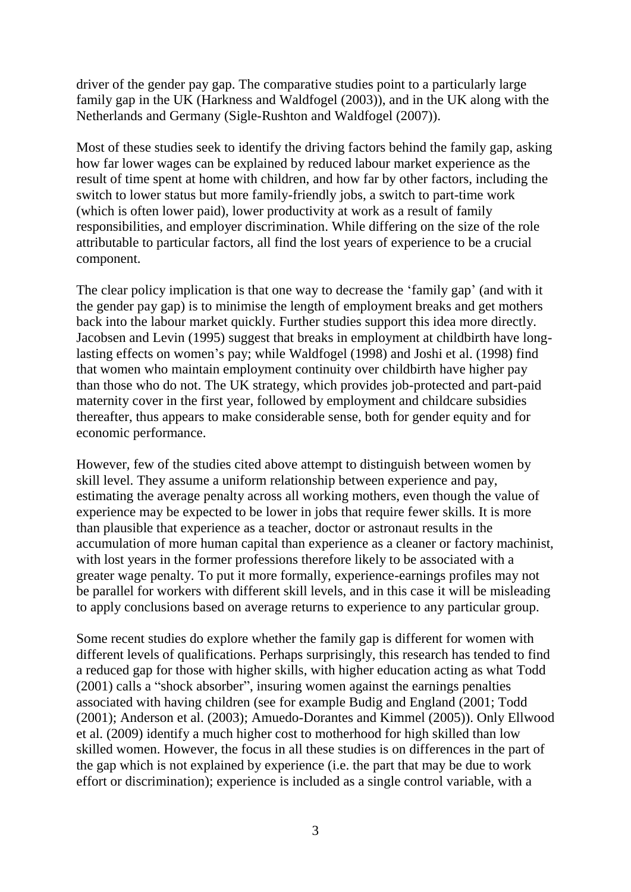driver of the gender pay gap. The comparative studies point to a particularly large family gap in the UK (Harkness and Waldfogel (2003)), and in the UK along with the Netherlands and Germany (Sigle-Rushton and Waldfogel (2007)).

Most of these studies seek to identify the driving factors behind the family gap, asking how far lower wages can be explained by reduced labour market experience as the result of time spent at home with children, and how far by other factors, including the switch to lower status but more family-friendly jobs, a switch to part-time work (which is often lower paid), lower productivity at work as a result of family responsibilities, and employer discrimination. While differing on the size of the role attributable to particular factors, all find the lost years of experience to be a crucial component.

The clear policy implication is that one way to decrease the "family gap" (and with it the gender pay gap) is to minimise the length of employment breaks and get mothers back into the labour market quickly. Further studies support this idea more directly. Jacobsen and Levin (1995) suggest that breaks in employment at childbirth have longlasting effects on women"s pay; while Waldfogel (1998) and Joshi et al. (1998) find that women who maintain employment continuity over childbirth have higher pay than those who do not. The UK strategy, which provides job-protected and part-paid maternity cover in the first year, followed by employment and childcare subsidies thereafter, thus appears to make considerable sense, both for gender equity and for economic performance.

However, few of the studies cited above attempt to distinguish between women by skill level. They assume a uniform relationship between experience and pay, estimating the average penalty across all working mothers, even though the value of experience may be expected to be lower in jobs that require fewer skills. It is more than plausible that experience as a teacher, doctor or astronaut results in the accumulation of more human capital than experience as a cleaner or factory machinist, with lost years in the former professions therefore likely to be associated with a greater wage penalty. To put it more formally, experience-earnings profiles may not be parallel for workers with different skill levels, and in this case it will be misleading to apply conclusions based on average returns to experience to any particular group.

Some recent studies do explore whether the family gap is different for women with different levels of qualifications. Perhaps surprisingly, this research has tended to find a reduced gap for those with higher skills, with higher education acting as what Todd (2001) calls a "shock absorber", insuring women against the earnings penalties associated with having children (see for example Budig and England (2001; Todd (2001); Anderson et al. (2003); Amuedo-Dorantes and Kimmel (2005)). Only Ellwood et al. (2009) identify a much higher cost to motherhood for high skilled than low skilled women. However, the focus in all these studies is on differences in the part of the gap which is not explained by experience (i.e. the part that may be due to work effort or discrimination); experience is included as a single control variable, with a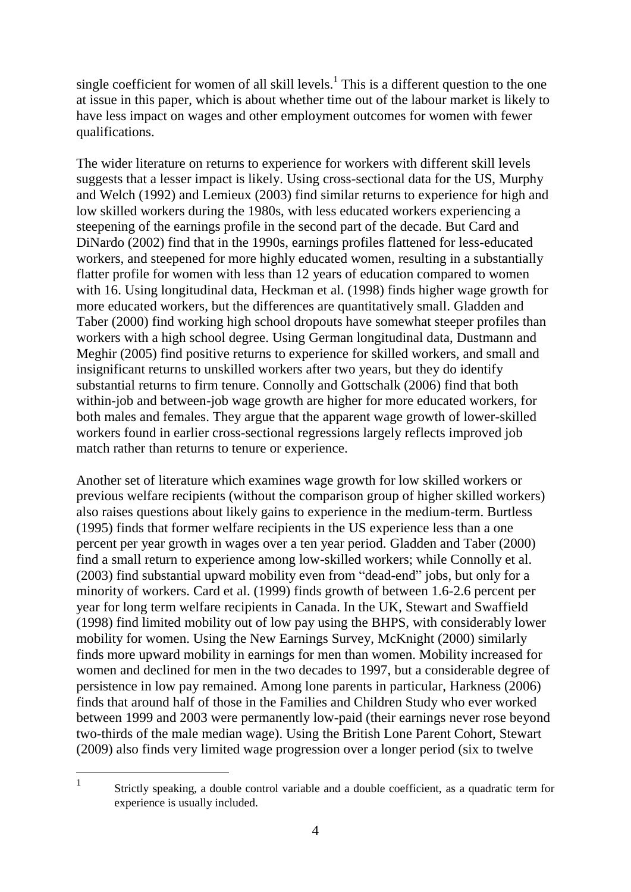single coefficient for women of all skill levels.<sup>1</sup> This is a different question to the one at issue in this paper, which is about whether time out of the labour market is likely to have less impact on wages and other employment outcomes for women with fewer qualifications.

The wider literature on returns to experience for workers with different skill levels suggests that a lesser impact is likely. Using cross-sectional data for the US, Murphy and Welch (1992) and Lemieux (2003) find similar returns to experience for high and low skilled workers during the 1980s, with less educated workers experiencing a steepening of the earnings profile in the second part of the decade. But Card and DiNardo (2002) find that in the 1990s, earnings profiles flattened for less-educated workers, and steepened for more highly educated women, resulting in a substantially flatter profile for women with less than 12 years of education compared to women with 16. Using longitudinal data, Heckman et al. (1998) finds higher wage growth for more educated workers, but the differences are quantitatively small. Gladden and Taber (2000) find working high school dropouts have somewhat steeper profiles than workers with a high school degree. Using German longitudinal data, Dustmann and Meghir (2005) find positive returns to experience for skilled workers, and small and insignificant returns to unskilled workers after two years, but they do identify substantial returns to firm tenure. Connolly and Gottschalk (2006) find that both within-job and between-job wage growth are higher for more educated workers, for both males and females. They argue that the apparent wage growth of lower-skilled workers found in earlier cross-sectional regressions largely reflects improved job match rather than returns to tenure or experience.

Another set of literature which examines wage growth for low skilled workers or previous welfare recipients (without the comparison group of higher skilled workers) also raises questions about likely gains to experience in the medium-term. Burtless (1995) finds that former welfare recipients in the US experience less than a one percent per year growth in wages over a ten year period. Gladden and Taber (2000) find a small return to experience among low-skilled workers; while Connolly et al. (2003) find substantial upward mobility even from "dead-end" jobs, but only for a minority of workers. Card et al. (1999) finds growth of between 1.6-2.6 percent per year for long term welfare recipients in Canada. In the UK, Stewart and Swaffield (1998) find limited mobility out of low pay using the BHPS, with considerably lower mobility for women. Using the New Earnings Survey, McKnight (2000) similarly finds more upward mobility in earnings for men than women. Mobility increased for women and declined for men in the two decades to 1997, but a considerable degree of persistence in low pay remained. Among lone parents in particular, Harkness (2006) finds that around half of those in the Families and Children Study who ever worked between 1999 and 2003 were permanently low-paid (their earnings never rose beyond two-thirds of the male median wage). Using the British Lone Parent Cohort, Stewart (2009) also finds very limited wage progression over a longer period (six to twelve

 $\overline{a}$ 1

Strictly speaking, a double control variable and a double coefficient, as a quadratic term for experience is usually included.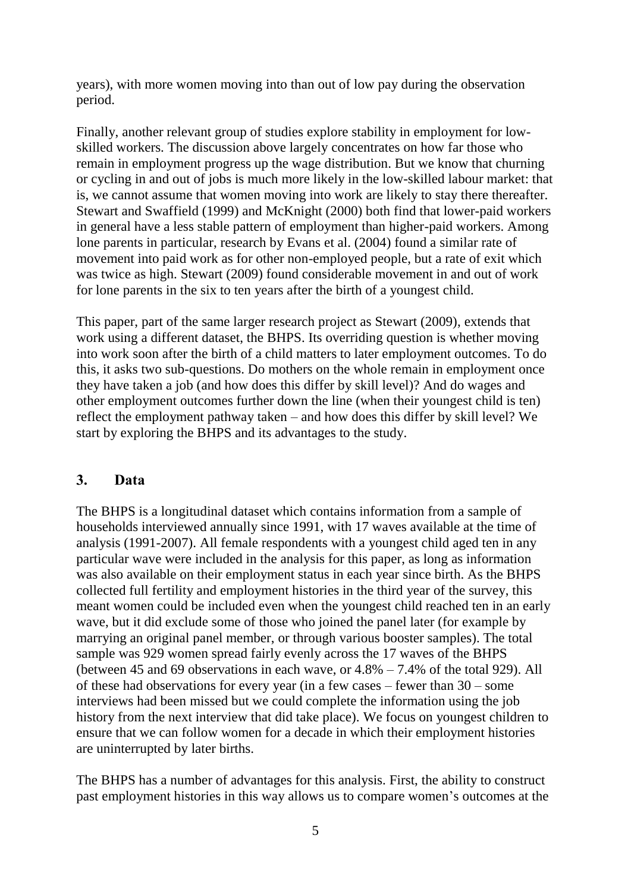years), with more women moving into than out of low pay during the observation period.

Finally, another relevant group of studies explore stability in employment for lowskilled workers. The discussion above largely concentrates on how far those who remain in employment progress up the wage distribution. But we know that churning or cycling in and out of jobs is much more likely in the low-skilled labour market: that is, we cannot assume that women moving into work are likely to stay there thereafter. Stewart and Swaffield (1999) and McKnight (2000) both find that lower-paid workers in general have a less stable pattern of employment than higher-paid workers. Among lone parents in particular, research by Evans et al. (2004) found a similar rate of movement into paid work as for other non-employed people, but a rate of exit which was twice as high. Stewart (2009) found considerable movement in and out of work for lone parents in the six to ten years after the birth of a youngest child.

This paper, part of the same larger research project as Stewart (2009), extends that work using a different dataset, the BHPS. Its overriding question is whether moving into work soon after the birth of a child matters to later employment outcomes. To do this, it asks two sub-questions. Do mothers on the whole remain in employment once they have taken a job (and how does this differ by skill level)? And do wages and other employment outcomes further down the line (when their youngest child is ten) reflect the employment pathway taken – and how does this differ by skill level? We start by exploring the BHPS and its advantages to the study.

## <span id="page-7-0"></span>**3. Data**

The BHPS is a longitudinal dataset which contains information from a sample of households interviewed annually since 1991, with 17 waves available at the time of analysis (1991-2007). All female respondents with a youngest child aged ten in any particular wave were included in the analysis for this paper, as long as information was also available on their employment status in each year since birth. As the BHPS collected full fertility and employment histories in the third year of the survey, this meant women could be included even when the youngest child reached ten in an early wave, but it did exclude some of those who joined the panel later (for example by marrying an original panel member, or through various booster samples). The total sample was 929 women spread fairly evenly across the 17 waves of the BHPS (between 45 and 69 observations in each wave, or 4.8% – 7.4% of the total 929). All of these had observations for every year (in a few cases – fewer than 30 – some interviews had been missed but we could complete the information using the job history from the next interview that did take place). We focus on youngest children to ensure that we can follow women for a decade in which their employment histories are uninterrupted by later births.

The BHPS has a number of advantages for this analysis. First, the ability to construct past employment histories in this way allows us to compare women"s outcomes at the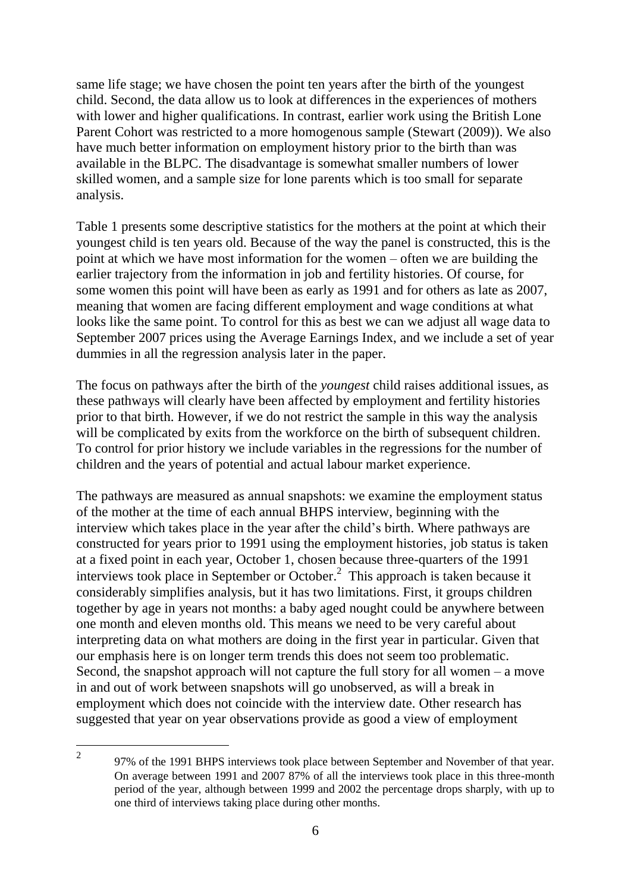same life stage; we have chosen the point ten years after the birth of the youngest child. Second, the data allow us to look at differences in the experiences of mothers with lower and higher qualifications. In contrast, earlier work using the British Lone Parent Cohort was restricted to a more homogenous sample (Stewart (2009)). We also have much better information on employment history prior to the birth than was available in the BLPC. The disadvantage is somewhat smaller numbers of lower skilled women, and a sample size for lone parents which is too small for separate analysis.

Table 1 presents some descriptive statistics for the mothers at the point at which their youngest child is ten years old. Because of the way the panel is constructed, this is the point at which we have most information for the women – often we are building the earlier trajectory from the information in job and fertility histories. Of course, for some women this point will have been as early as 1991 and for others as late as 2007, meaning that women are facing different employment and wage conditions at what looks like the same point. To control for this as best we can we adjust all wage data to September 2007 prices using the Average Earnings Index, and we include a set of year dummies in all the regression analysis later in the paper.

The focus on pathways after the birth of the *youngest* child raises additional issues, as these pathways will clearly have been affected by employment and fertility histories prior to that birth. However, if we do not restrict the sample in this way the analysis will be complicated by exits from the workforce on the birth of subsequent children. To control for prior history we include variables in the regressions for the number of children and the years of potential and actual labour market experience.

The pathways are measured as annual snapshots: we examine the employment status of the mother at the time of each annual BHPS interview, beginning with the interview which takes place in the year after the child"s birth. Where pathways are constructed for years prior to 1991 using the employment histories, job status is taken at a fixed point in each year, October 1, chosen because three-quarters of the 1991 interviews took place in September or October. 2 This approach is taken because it considerably simplifies analysis, but it has two limitations. First, it groups children together by age in years not months: a baby aged nought could be anywhere between one month and eleven months old. This means we need to be very careful about interpreting data on what mothers are doing in the first year in particular. Given that our emphasis here is on longer term trends this does not seem too problematic. Second, the snapshot approach will not capture the full story for all women – a move in and out of work between snapshots will go unobserved, as will a break in employment which does not coincide with the interview date. Other research has suggested that year on year observations provide as good a view of employment

 $\overline{a}$ 

<sup>2</sup> 97% of the 1991 BHPS interviews took place between September and November of that year. On average between 1991 and 2007 87% of all the interviews took place in this three-month period of the year, although between 1999 and 2002 the percentage drops sharply, with up to one third of interviews taking place during other months.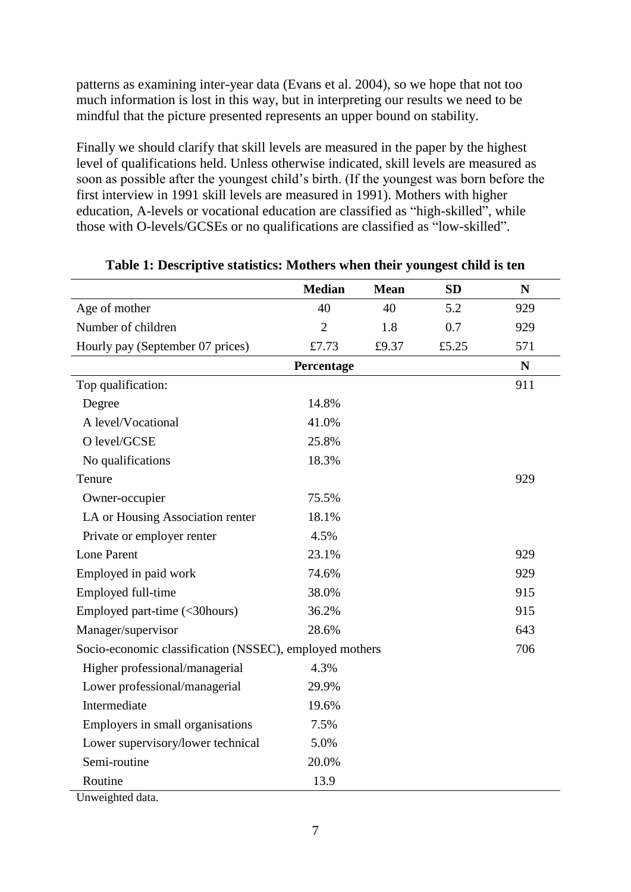patterns as examining inter-year data (Evans et al. 2004), so we hope that not too much information is lost in this way, but in interpreting our results we need to be mindful that the picture presented represents an upper bound on stability.

Finally we should clarify that skill levels are measured in the paper by the highest level of qualifications held. Unless otherwise indicated, skill levels are measured as soon as possible after the youngest child"s birth. (If the youngest was born before the first interview in 1991 skill levels are measured in 1991). Mothers with higher education, A-levels or vocational education are classified as "high-skilled", while those with O-levels/GCSEs or no qualifications are classified as "low-skilled".

|                                                         | <b>Median</b>  | <b>Mean</b> | <b>SD</b> | N           |
|---------------------------------------------------------|----------------|-------------|-----------|-------------|
| Age of mother                                           | 40             | 40          | 5.2       | 929         |
| Number of children                                      | $\overline{2}$ | 1.8         | 0.7       | 929         |
| Hourly pay (September 07 prices)                        | £7.73          | £9.37       | £5.25     | 571         |
|                                                         | Percentage     |             |           | $\mathbf N$ |
| Top qualification:                                      |                |             |           | 911         |
| Degree                                                  | 14.8%          |             |           |             |
| A level/Vocational                                      | 41.0%          |             |           |             |
| O level/GCSE                                            | 25.8%          |             |           |             |
| No qualifications                                       | 18.3%          |             |           |             |
| Tenure                                                  |                |             |           | 929         |
| Owner-occupier                                          | 75.5%          |             |           |             |
| LA or Housing Association renter                        | 18.1%          |             |           |             |
| Private or employer renter                              | 4.5%           |             |           |             |
| <b>Lone Parent</b>                                      | 23.1%          |             |           | 929         |
| Employed in paid work                                   | 74.6%          |             |           | 929         |
| Employed full-time                                      | 38.0%          |             |           | 915         |
| Employed part-time (<30hours)                           | 36.2%          |             |           | 915         |
| Manager/supervisor                                      | 28.6%          |             |           | 643         |
| Socio-economic classification (NSSEC), employed mothers |                |             |           | 706         |
| Higher professional/managerial                          | 4.3%           |             |           |             |
| Lower professional/managerial                           | 29.9%          |             |           |             |
| Intermediate                                            | 19.6%          |             |           |             |
| Employers in small organisations                        | 7.5%           |             |           |             |
| Lower supervisory/lower technical                       | 5.0%           |             |           |             |
| Semi-routine                                            | 20.0%          |             |           |             |
| Routine                                                 | 13.9           |             |           |             |

| Table 1: Descriptive statistics: Mothers when their youngest child is ten |  |
|---------------------------------------------------------------------------|--|
|---------------------------------------------------------------------------|--|

Unweighted data.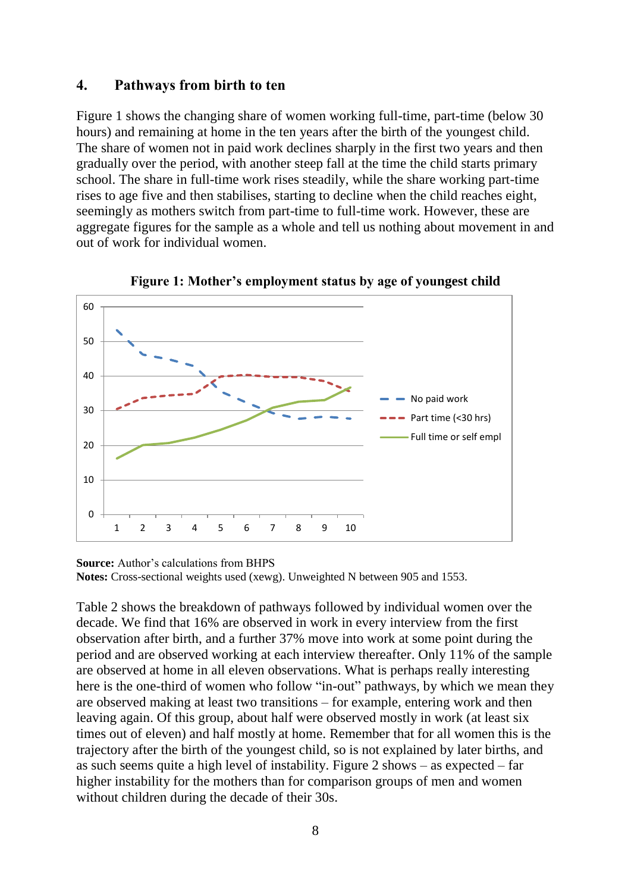#### <span id="page-10-0"></span>**4. Pathways from birth to ten**

Figure 1 shows the changing share of women working full-time, part-time (below 30 hours) and remaining at home in the ten years after the birth of the youngest child. The share of women not in paid work declines sharply in the first two years and then gradually over the period, with another steep fall at the time the child starts primary school. The share in full-time work rises steadily, while the share working part-time rises to age five and then stabilises, starting to decline when the child reaches eight, seemingly as mothers switch from part-time to full-time work. However, these are aggregate figures for the sample as a whole and tell us nothing about movement in and out of work for individual women.



**Figure 1: Mother's employment status by age of youngest child**

**Source:** Author's calculations from BHPS **Notes:** Cross-sectional weights used (xewg). Unweighted N between 905 and 1553.

Table 2 shows the breakdown of pathways followed by individual women over the decade. We find that 16% are observed in work in every interview from the first observation after birth, and a further 37% move into work at some point during the period and are observed working at each interview thereafter. Only 11% of the sample are observed at home in all eleven observations. What is perhaps really interesting here is the one-third of women who follow "in-out" pathways, by which we mean they are observed making at least two transitions – for example, entering work and then leaving again. Of this group, about half were observed mostly in work (at least six times out of eleven) and half mostly at home. Remember that for all women this is the trajectory after the birth of the youngest child, so is not explained by later births, and as such seems quite a high level of instability. Figure 2 shows – as expected – far higher instability for the mothers than for comparison groups of men and women without children during the decade of their 30s.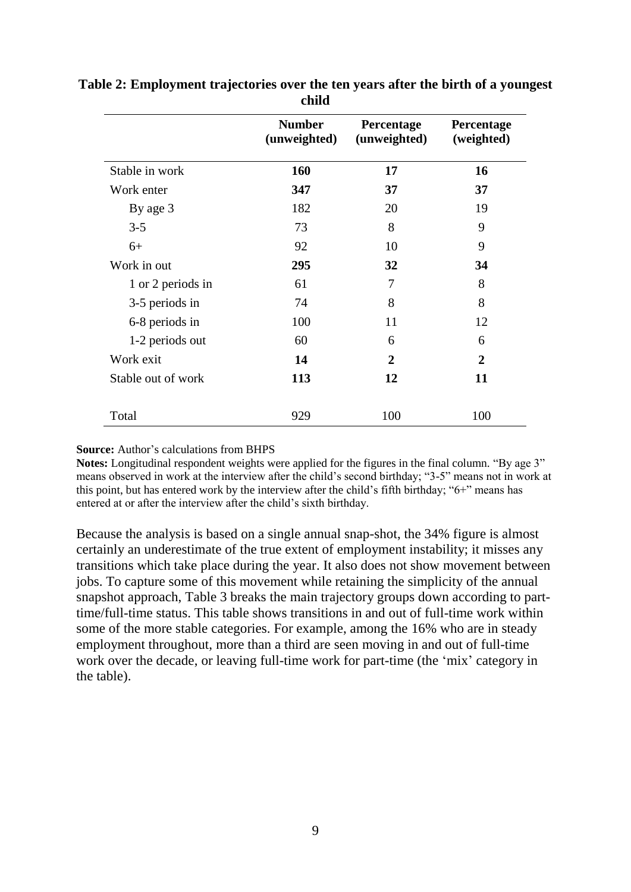|                    | <b>Number</b><br>(unweighted) | Percentage<br>(unweighted) | Percentage<br>(weighted) |
|--------------------|-------------------------------|----------------------------|--------------------------|
| Stable in work     | 160                           | 17                         | 16                       |
| Work enter         | 347                           | 37                         | 37                       |
| By age 3           | 182                           | 20                         | 19                       |
| $3 - 5$            | 73                            | 8                          | 9                        |
| $6+$               | 92                            | 10                         | 9                        |
| Work in out        | 295                           | 32                         | 34                       |
| 1 or 2 periods in  | 61                            | 7                          | 8                        |
| 3-5 periods in     | 74                            | 8                          | 8                        |
| 6-8 periods in     | 100                           | 11                         | 12                       |
| 1-2 periods out    | 60                            | 6                          | 6                        |
| Work exit          | 14                            | $\overline{2}$             | $\overline{2}$           |
| Stable out of work | 113                           | 12                         | 11                       |
| Total              | 929                           | 100                        | 100                      |

### **Table 2: Employment trajectories over the ten years after the birth of a youngest child**

#### **Source:** Author's calculations from BHPS

**Notes:** Longitudinal respondent weights were applied for the figures in the final column. "By age 3" means observed in work at the interview after the child"s second birthday; "3-5" means not in work at this point, but has entered work by the interview after the child"s fifth birthday; "6+" means has entered at or after the interview after the child"s sixth birthday.

Because the analysis is based on a single annual snap-shot, the 34% figure is almost certainly an underestimate of the true extent of employment instability; it misses any transitions which take place during the year. It also does not show movement between jobs. To capture some of this movement while retaining the simplicity of the annual snapshot approach, Table 3 breaks the main trajectory groups down according to parttime/full-time status. This table shows transitions in and out of full-time work within some of the more stable categories. For example, among the 16% who are in steady employment throughout, more than a third are seen moving in and out of full-time work over the decade, or leaving full-time work for part-time (the 'mix' category in the table).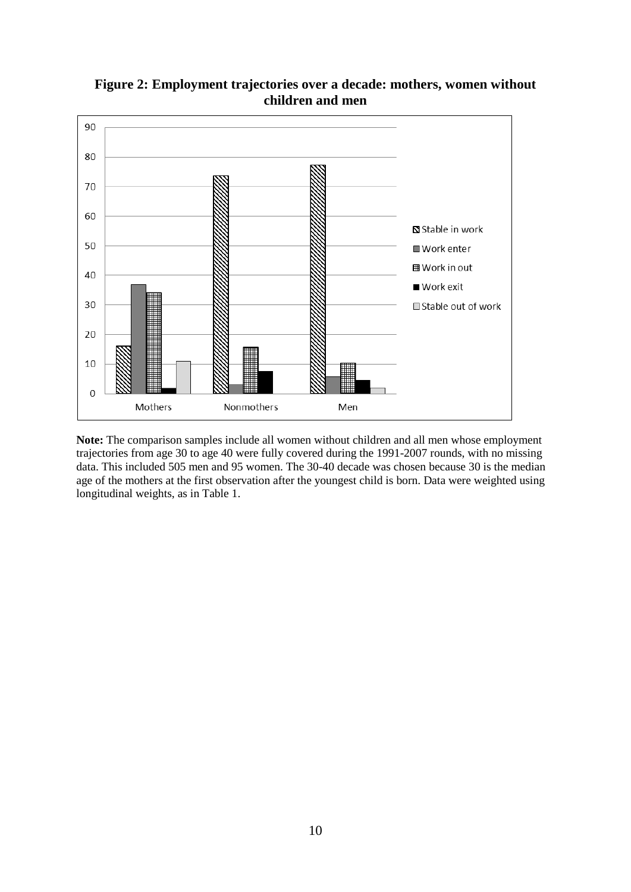

## **Figure 2: Employment trajectories over a decade: mothers, women without children and men**

**Note:** The comparison samples include all women without children and all men whose employment trajectories from age 30 to age 40 were fully covered during the 1991-2007 rounds, with no missing data. This included 505 men and 95 women. The 30-40 decade was chosen because 30 is the median age of the mothers at the first observation after the youngest child is born. Data were weighted using longitudinal weights, as in Table 1.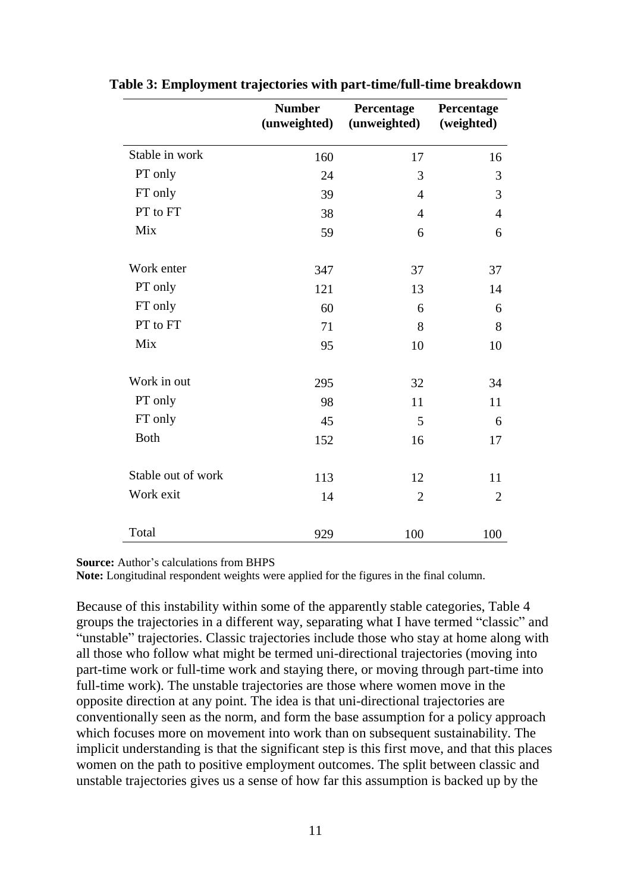|                    | <b>Number</b><br>(unweighted) | Percentage<br>(unweighted) | Percentage<br>(weighted) |
|--------------------|-------------------------------|----------------------------|--------------------------|
| Stable in work     | 160                           | 17                         | 16                       |
| PT only            | 24                            | 3                          | 3                        |
| FT only            | 39                            | $\overline{4}$             | 3                        |
| PT to FT           | 38                            | $\overline{4}$             | $\overline{4}$           |
| Mix                | 59                            | 6                          | 6                        |
| Work enter         | 347                           | 37                         | 37                       |
| PT only            | 121                           | 13                         | 14                       |
| FT only            | 60                            | 6                          | 6                        |
| PT to FT           | 71                            | 8                          | 8                        |
| Mix                | 95                            | 10                         | 10                       |
| Work in out        | 295                           | 32                         | 34                       |
| PT only            | 98                            | 11                         | 11                       |
| FT only            | 45                            | 5                          | 6                        |
| <b>Both</b>        | 152                           | 16                         | 17                       |
| Stable out of work | 113                           | 12                         | 11                       |
| Work exit          | 14                            | $\overline{2}$             | $\overline{2}$           |
| Total              | 929                           | 100                        | 100                      |

**Table 3: Employment trajectories with part-time/full-time breakdown**

**Source:** Author's calculations from BHPS

**Note:** Longitudinal respondent weights were applied for the figures in the final column.

Because of this instability within some of the apparently stable categories, Table 4 groups the trajectories in a different way, separating what I have termed "classic" and "unstable" trajectories. Classic trajectories include those who stay at home along with all those who follow what might be termed uni-directional trajectories (moving into part-time work or full-time work and staying there, or moving through part-time into full-time work). The unstable trajectories are those where women move in the opposite direction at any point. The idea is that uni-directional trajectories are conventionally seen as the norm, and form the base assumption for a policy approach which focuses more on movement into work than on subsequent sustainability. The implicit understanding is that the significant step is this first move, and that this places women on the path to positive employment outcomes. The split between classic and unstable trajectories gives us a sense of how far this assumption is backed up by the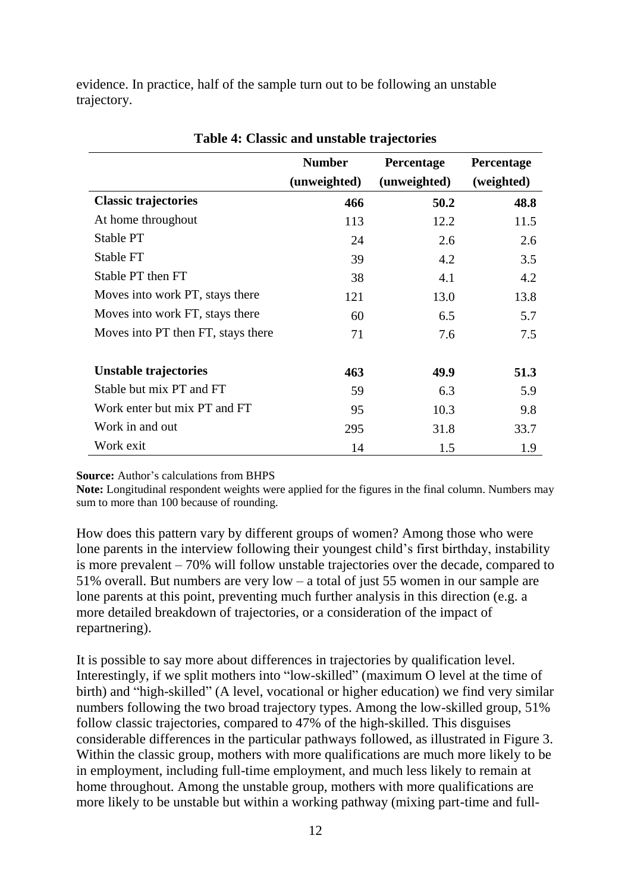evidence. In practice, half of the sample turn out to be following an unstable trajectory.

|                                    | <b>Number</b> | Percentage   | Percentage |
|------------------------------------|---------------|--------------|------------|
|                                    | (unweighted)  | (unweighted) | (weighted) |
| <b>Classic trajectories</b>        | 466           | 50.2         | 48.8       |
| At home throughout                 | 113           | 12.2         | 11.5       |
| Stable PT                          | 24            | 2.6          | 2.6        |
| Stable FT                          | 39            | 4.2          | 3.5        |
| Stable PT then FT                  | 38            | 4.1          | 4.2        |
| Moves into work PT, stays there    | 121           | 13.0         | 13.8       |
| Moves into work FT, stays there    | 60            | 6.5          | 5.7        |
| Moves into PT then FT, stays there | 71            | 7.6          | 7.5        |
|                                    |               |              |            |
| Unstable trajectories              | 463           | 49.9         | 51.3       |
| Stable but mix PT and FT           | 59            | 6.3          | 5.9        |
| Work enter but mix PT and FT       | 95            | 10.3         | 9.8        |
| Work in and out                    | 295           | 31.8         | 33.7       |
| Work exit                          | 14            | 1.5          | 1.9        |

|  |  |  | Table 4: Classic and unstable trajectories |  |  |
|--|--|--|--------------------------------------------|--|--|
|--|--|--|--------------------------------------------|--|--|

**Source:** Author's calculations from BHPS

**Note:** Longitudinal respondent weights were applied for the figures in the final column. Numbers may sum to more than 100 because of rounding.

How does this pattern vary by different groups of women? Among those who were lone parents in the interview following their youngest child"s first birthday, instability is more prevalent – 70% will follow unstable trajectories over the decade, compared to 51% overall. But numbers are very low – a total of just 55 women in our sample are lone parents at this point, preventing much further analysis in this direction (e.g. a more detailed breakdown of trajectories, or a consideration of the impact of repartnering).

It is possible to say more about differences in trajectories by qualification level. Interestingly, if we split mothers into "low-skilled" (maximum O level at the time of birth) and "high-skilled" (A level, vocational or higher education) we find very similar numbers following the two broad trajectory types. Among the low-skilled group, 51% follow classic trajectories, compared to 47% of the high-skilled. This disguises considerable differences in the particular pathways followed, as illustrated in Figure 3. Within the classic group, mothers with more qualifications are much more likely to be in employment, including full-time employment, and much less likely to remain at home throughout. Among the unstable group, mothers with more qualifications are more likely to be unstable but within a working pathway (mixing part-time and full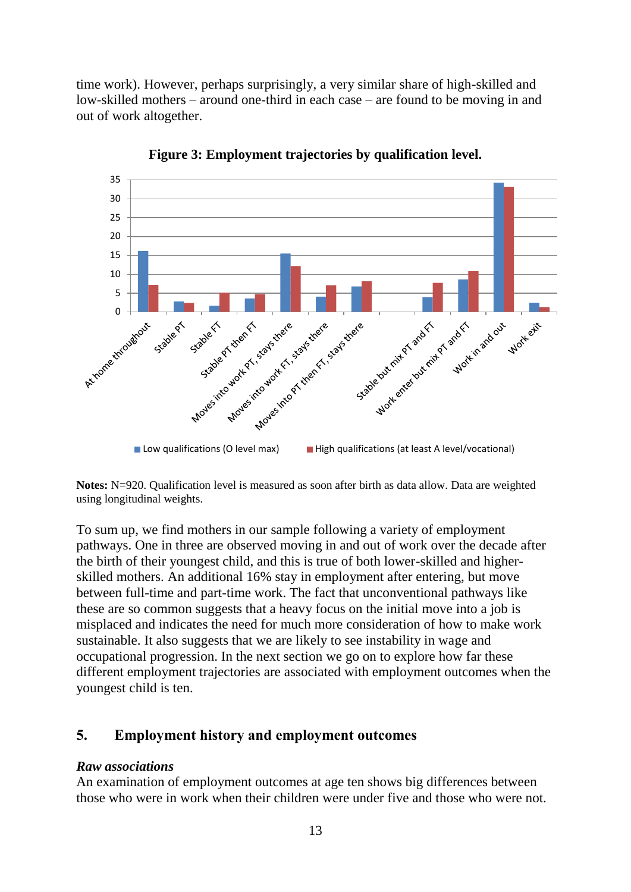time work). However, perhaps surprisingly, a very similar share of high-skilled and low-skilled mothers – around one-third in each case – are found to be moving in and out of work altogether.



**Figure 3: Employment trajectories by qualification level.** 

Notes: N=920. Qualification level is measured as soon after birth as data allow. Data are weighted using longitudinal weights.

To sum up, we find mothers in our sample following a variety of employment pathways. One in three are observed moving in and out of work over the decade after the birth of their youngest child, and this is true of both lower-skilled and higherskilled mothers. An additional 16% stay in employment after entering, but move between full-time and part-time work. The fact that unconventional pathways like these are so common suggests that a heavy focus on the initial move into a job is misplaced and indicates the need for much more consideration of how to make work sustainable. It also suggests that we are likely to see instability in wage and occupational progression. In the next section we go on to explore how far these different employment trajectories are associated with employment outcomes when the youngest child is ten.

### <span id="page-15-0"></span>**5. Employment history and employment outcomes**

#### <span id="page-15-1"></span>*Raw associations*

An examination of employment outcomes at age ten shows big differences between those who were in work when their children were under five and those who were not.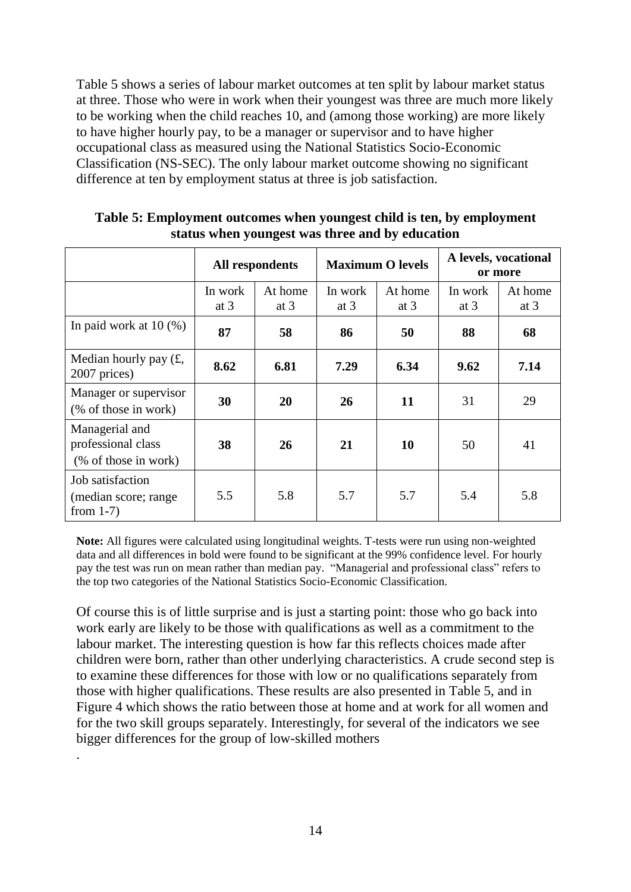Table 5 shows a series of labour market outcomes at ten split by labour market status at three. Those who were in work when their youngest was three are much more likely to be working when the child reaches 10, and (among those working) are more likely to have higher hourly pay, to be a manager or supervisor and to have higher occupational class as measured using the National Statistics Socio-Economic Classification (NS-SEC). The only labour market outcome showing no significant difference at ten by employment status at three is job satisfaction.

|                                                              |                   | <b>All respondents</b> | <b>Maximum O levels</b> |                   | A levels, vocational<br>or more |                   |
|--------------------------------------------------------------|-------------------|------------------------|-------------------------|-------------------|---------------------------------|-------------------|
|                                                              | In work<br>at $3$ | At home<br>at $3$      | In work<br>at $3$       | At home<br>at $3$ | In work<br>at $3$               | At home<br>at $3$ |
| In paid work at $10\,(%)$                                    | 87                | 58                     | 86                      | 50                | 88                              | 68                |
| Median hourly pay $(f,$<br>2007 prices)                      | 8.62              | 6.81                   | 7.29                    | 6.34              | 9.62                            | 7.14              |
| Manager or supervisor<br>(% of those in work)                | 30                | 20                     | 26                      | 11                | 31                              | 29                |
| Managerial and<br>professional class<br>(% of those in work) | 38                | 26                     | 21                      | 10                | 50                              | 41                |
| Job satisfaction<br>(median score; range)<br>from $1-7$ )    | 5.5               | 5.8                    | 5.7                     | 5.7               | 5.4                             | 5.8               |

**Table 5: Employment outcomes when youngest child is ten, by employment status when youngest was three and by education**

**Note:** All figures were calculated using longitudinal weights. T-tests were run using non-weighted data and all differences in bold were found to be significant at the 99% confidence level. For hourly pay the test was run on mean rather than median pay. "Managerial and professional class" refers to the top two categories of the National Statistics Socio-Economic Classification.

Of course this is of little surprise and is just a starting point: those who go back into work early are likely to be those with qualifications as well as a commitment to the labour market. The interesting question is how far this reflects choices made after children were born, rather than other underlying characteristics. A crude second step is to examine these differences for those with low or no qualifications separately from those with higher qualifications. These results are also presented in Table 5, and in Figure 4 which shows the ratio between those at home and at work for all women and for the two skill groups separately. Interestingly, for several of the indicators we see bigger differences for the group of low-skilled mothers

.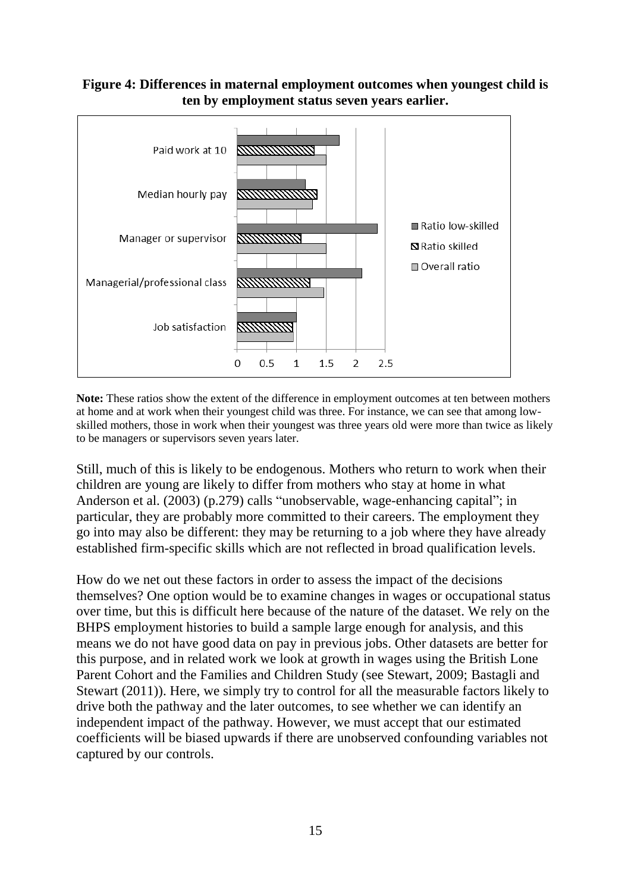### **Figure 4: Differences in maternal employment outcomes when youngest child is ten by employment status seven years earlier.**



**Note:** These ratios show the extent of the difference in employment outcomes at ten between mothers at home and at work when their youngest child was three. For instance, we can see that among lowskilled mothers, those in work when their youngest was three years old were more than twice as likely to be managers or supervisors seven years later.

Still, much of this is likely to be endogenous. Mothers who return to work when their children are young are likely to differ from mothers who stay at home in what Anderson et al. (2003) (p.279) calls "unobservable, wage-enhancing capital"; in particular, they are probably more committed to their careers. The employment they go into may also be different: they may be returning to a job where they have already established firm-specific skills which are not reflected in broad qualification levels.

How do we net out these factors in order to assess the impact of the decisions themselves? One option would be to examine changes in wages or occupational status over time, but this is difficult here because of the nature of the dataset. We rely on the BHPS employment histories to build a sample large enough for analysis, and this means we do not have good data on pay in previous jobs. Other datasets are better for this purpose, and in related work we look at growth in wages using the British Lone Parent Cohort and the Families and Children Study (see Stewart, 2009; Bastagli and Stewart (2011)). Here, we simply try to control for all the measurable factors likely to drive both the pathway and the later outcomes, to see whether we can identify an independent impact of the pathway. However, we must accept that our estimated coefficients will be biased upwards if there are unobserved confounding variables not captured by our controls.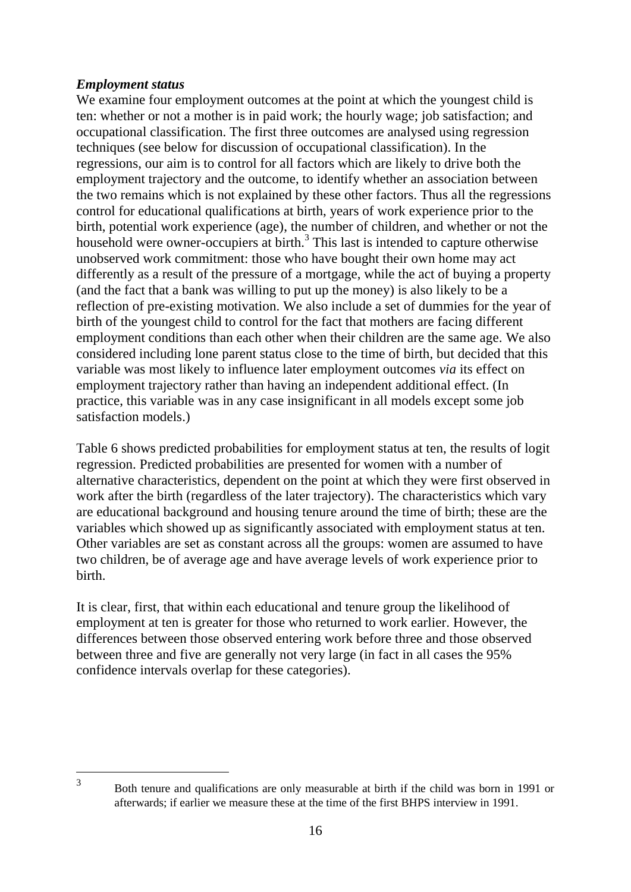### <span id="page-18-0"></span>*Employment status*

We examine four employment outcomes at the point at which the youngest child is ten: whether or not a mother is in paid work; the hourly wage; job satisfaction; and occupational classification. The first three outcomes are analysed using regression techniques (see below for discussion of occupational classification). In the regressions, our aim is to control for all factors which are likely to drive both the employment trajectory and the outcome, to identify whether an association between the two remains which is not explained by these other factors. Thus all the regressions control for educational qualifications at birth, years of work experience prior to the birth, potential work experience (age), the number of children, and whether or not the household were owner-occupiers at birth.<sup>3</sup> This last is intended to capture otherwise unobserved work commitment: those who have bought their own home may act differently as a result of the pressure of a mortgage, while the act of buying a property (and the fact that a bank was willing to put up the money) is also likely to be a reflection of pre-existing motivation. We also include a set of dummies for the year of birth of the youngest child to control for the fact that mothers are facing different employment conditions than each other when their children are the same age. We also considered including lone parent status close to the time of birth, but decided that this variable was most likely to influence later employment outcomes *via* its effect on employment trajectory rather than having an independent additional effect. (In practice, this variable was in any case insignificant in all models except some job satisfaction models.)

Table 6 shows predicted probabilities for employment status at ten, the results of logit regression. Predicted probabilities are presented for women with a number of alternative characteristics, dependent on the point at which they were first observed in work after the birth (regardless of the later trajectory). The characteristics which vary are educational background and housing tenure around the time of birth; these are the variables which showed up as significantly associated with employment status at ten. Other variables are set as constant across all the groups: women are assumed to have two children, be of average age and have average levels of work experience prior to birth.

It is clear, first, that within each educational and tenure group the likelihood of employment at ten is greater for those who returned to work earlier. However, the differences between those observed entering work before three and those observed between three and five are generally not very large (in fact in all cases the 95% confidence intervals overlap for these categories).

 $\overline{a}$ 3

Both tenure and qualifications are only measurable at birth if the child was born in 1991 or afterwards; if earlier we measure these at the time of the first BHPS interview in 1991.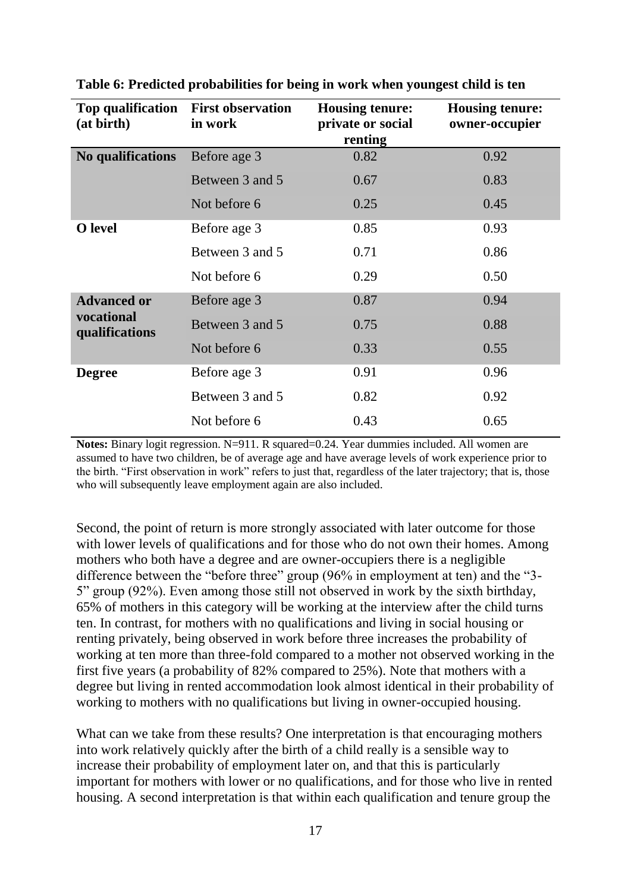| Top qualification<br>(at birth) | <b>First observation</b><br>in work | <b>Housing tenure:</b><br>private or social<br>renting | <b>Housing tenure:</b><br>owner-occupier |
|---------------------------------|-------------------------------------|--------------------------------------------------------|------------------------------------------|
| <b>No qualifications</b>        | Before age 3                        | 0.82                                                   | 0.92                                     |
|                                 | Between 3 and 5                     | 0.67                                                   | 0.83                                     |
|                                 | Not before 6                        | 0.25                                                   | 0.45                                     |
| O level                         | Before age 3                        | 0.85                                                   | 0.93                                     |
|                                 | Between 3 and 5                     | 0.71                                                   | 0.86                                     |
|                                 | Not before 6                        | 0.29                                                   | 0.50                                     |
| <b>Advanced or</b>              | Before age 3                        | 0.87                                                   | 0.94                                     |
| vocational<br>qualifications    | Between 3 and 5                     | 0.75                                                   | 0.88                                     |
|                                 | Not before 6                        | 0.33                                                   | 0.55                                     |
| <b>Degree</b>                   | Before age 3                        | 0.91                                                   | 0.96                                     |
|                                 | Between 3 and 5                     | 0.82                                                   | 0.92                                     |
|                                 | Not before 6                        | 0.43                                                   | 0.65                                     |

**Table 6: Predicted probabilities for being in work when youngest child is ten**

Notes: Binary logit regression. N=911. R squared=0.24. Year dummies included. All women are assumed to have two children, be of average age and have average levels of work experience prior to the birth. "First observation in work" refers to just that, regardless of the later trajectory; that is, those who will subsequently leave employment again are also included.

Second, the point of return is more strongly associated with later outcome for those with lower levels of qualifications and for those who do not own their homes. Among mothers who both have a degree and are owner-occupiers there is a negligible difference between the "before three" group (96% in employment at ten) and the "3- 5" group (92%). Even among those still not observed in work by the sixth birthday, 65% of mothers in this category will be working at the interview after the child turns ten. In contrast, for mothers with no qualifications and living in social housing or renting privately, being observed in work before three increases the probability of working at ten more than three-fold compared to a mother not observed working in the first five years (a probability of 82% compared to 25%). Note that mothers with a degree but living in rented accommodation look almost identical in their probability of working to mothers with no qualifications but living in owner-occupied housing.

What can we take from these results? One interpretation is that encouraging mothers into work relatively quickly after the birth of a child really is a sensible way to increase their probability of employment later on, and that this is particularly important for mothers with lower or no qualifications, and for those who live in rented housing. A second interpretation is that within each qualification and tenure group the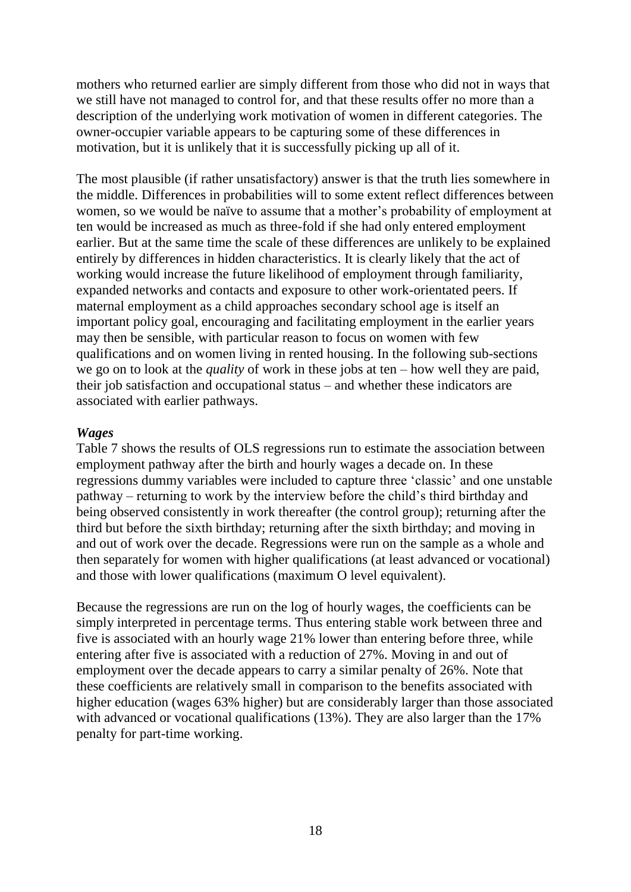mothers who returned earlier are simply different from those who did not in ways that we still have not managed to control for, and that these results offer no more than a description of the underlying work motivation of women in different categories. The owner-occupier variable appears to be capturing some of these differences in motivation, but it is unlikely that it is successfully picking up all of it.

The most plausible (if rather unsatisfactory) answer is that the truth lies somewhere in the middle. Differences in probabilities will to some extent reflect differences between women, so we would be naïve to assume that a mother's probability of employment at ten would be increased as much as three-fold if she had only entered employment earlier. But at the same time the scale of these differences are unlikely to be explained entirely by differences in hidden characteristics. It is clearly likely that the act of working would increase the future likelihood of employment through familiarity, expanded networks and contacts and exposure to other work-orientated peers. If maternal employment as a child approaches secondary school age is itself an important policy goal, encouraging and facilitating employment in the earlier years may then be sensible, with particular reason to focus on women with few qualifications and on women living in rented housing. In the following sub-sections we go on to look at the *quality* of work in these jobs at ten – how well they are paid, their job satisfaction and occupational status – and whether these indicators are associated with earlier pathways.

#### <span id="page-20-0"></span>*Wages*

Table 7 shows the results of OLS regressions run to estimate the association between employment pathway after the birth and hourly wages a decade on. In these regressions dummy variables were included to capture three "classic" and one unstable pathway – returning to work by the interview before the child"s third birthday and being observed consistently in work thereafter (the control group); returning after the third but before the sixth birthday; returning after the sixth birthday; and moving in and out of work over the decade. Regressions were run on the sample as a whole and then separately for women with higher qualifications (at least advanced or vocational) and those with lower qualifications (maximum O level equivalent).

Because the regressions are run on the log of hourly wages, the coefficients can be simply interpreted in percentage terms. Thus entering stable work between three and five is associated with an hourly wage 21% lower than entering before three, while entering after five is associated with a reduction of 27%. Moving in and out of employment over the decade appears to carry a similar penalty of 26%. Note that these coefficients are relatively small in comparison to the benefits associated with higher education (wages 63% higher) but are considerably larger than those associated with advanced or vocational qualifications (13%). They are also larger than the 17% penalty for part-time working.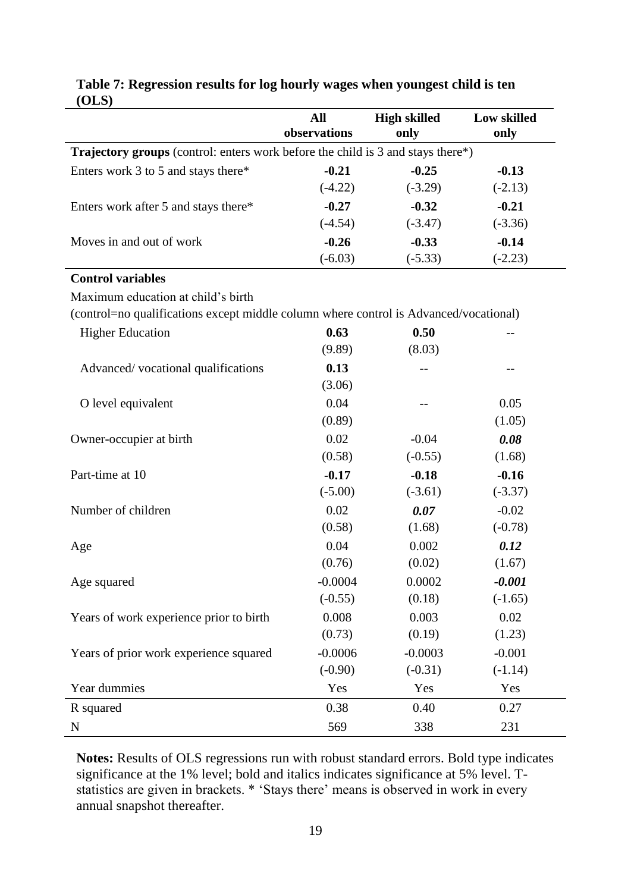|                                                                                       | All<br>observations | <b>High skilled</b><br>only | <b>Low skilled</b><br>only |  |  |  |  |
|---------------------------------------------------------------------------------------|---------------------|-----------------------------|----------------------------|--|--|--|--|
| Trajectory groups (control: enters work before the child is 3 and stays there*)       |                     |                             |                            |  |  |  |  |
| Enters work 3 to 5 and stays there*                                                   | $-0.21$             | $-0.25$                     | $-0.13$                    |  |  |  |  |
|                                                                                       | $(-4.22)$           | $(-3.29)$                   | $(-2.13)$                  |  |  |  |  |
| Enters work after 5 and stays there*                                                  | $-0.27$             | $-0.32$                     | $-0.21$                    |  |  |  |  |
|                                                                                       | $(-4.54)$           | $(-3.47)$                   | $(-3.36)$                  |  |  |  |  |
| Moves in and out of work                                                              | $-0.26$             | $-0.33$                     | $-0.14$                    |  |  |  |  |
|                                                                                       | $(-6.03)$           | $(-5.33)$                   | $(-2.23)$                  |  |  |  |  |
| <b>Control variables</b>                                                              |                     |                             |                            |  |  |  |  |
| Maximum education at child's birth                                                    |                     |                             |                            |  |  |  |  |
| (control=no qualifications except middle column where control is Advanced/vocational) |                     |                             |                            |  |  |  |  |
| <b>Higher Education</b>                                                               | 0.63                | 0.50                        |                            |  |  |  |  |
|                                                                                       | (9.89)              | (8.03)                      |                            |  |  |  |  |
| Advanced/vocational qualifications                                                    | 0.13                |                             |                            |  |  |  |  |
|                                                                                       | (3.06)              |                             |                            |  |  |  |  |
| O level equivalent                                                                    | 0.04                |                             | 0.05                       |  |  |  |  |
|                                                                                       | (0.89)              |                             | (1.05)                     |  |  |  |  |
| Owner-occupier at birth                                                               | 0.02                | $-0.04$                     | 0.08                       |  |  |  |  |
|                                                                                       | (0.58)              | $(-0.55)$                   | (1.68)                     |  |  |  |  |
| Part-time at 10                                                                       | $-0.17$             | $-0.18$                     | $-0.16$                    |  |  |  |  |
|                                                                                       | $(-5.00)$           | $(-3.61)$                   | $(-3.37)$                  |  |  |  |  |
| Number of children                                                                    | 0.02                | 0.07                        | $-0.02$                    |  |  |  |  |
|                                                                                       | (0.58)              | (1.68)                      | $(-0.78)$                  |  |  |  |  |
| Age                                                                                   | 0.04                | 0.002                       | 0.12                       |  |  |  |  |
|                                                                                       | (0.76)              | (0.02)                      | (1.67)                     |  |  |  |  |
| Age squared                                                                           | $-0.0004$           | 0.0002                      | $-0.001$                   |  |  |  |  |
|                                                                                       | $(-0.55)$           | (0.18)                      | $(-1.65)$                  |  |  |  |  |
| Years of work experience prior to birth                                               | 0.008               | 0.003                       | 0.02                       |  |  |  |  |
|                                                                                       | (0.73)              | (0.19)                      | (1.23)                     |  |  |  |  |
| Years of prior work experience squared                                                | $-0.0006$           | $-0.0003$                   | $-0.001$                   |  |  |  |  |
|                                                                                       | $(-0.90)$           | $(-0.31)$                   | $(-1.14)$                  |  |  |  |  |
| Year dummies                                                                          | Yes                 | Yes                         | Yes                        |  |  |  |  |
| R squared                                                                             | 0.38                | 0.40                        | 0.27                       |  |  |  |  |
| N                                                                                     | 569                 | 338                         | 231                        |  |  |  |  |

#### **Table 7: Regression results for log hourly wages when youngest child is ten (OLS)**

**Notes:** Results of OLS regressions run with robust standard errors. Bold type indicates significance at the 1% level; bold and italics indicates significance at 5% level. Tstatistics are given in brackets. \* "Stays there" means is observed in work in every annual snapshot thereafter.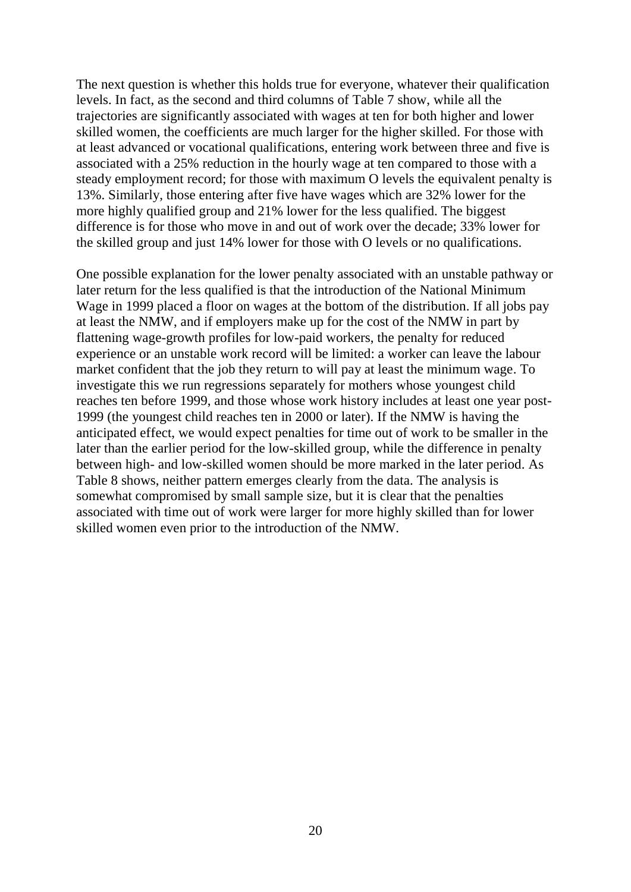The next question is whether this holds true for everyone, whatever their qualification levels. In fact, as the second and third columns of Table 7 show, while all the trajectories are significantly associated with wages at ten for both higher and lower skilled women, the coefficients are much larger for the higher skilled. For those with at least advanced or vocational qualifications, entering work between three and five is associated with a 25% reduction in the hourly wage at ten compared to those with a steady employment record; for those with maximum O levels the equivalent penalty is 13%. Similarly, those entering after five have wages which are 32% lower for the more highly qualified group and 21% lower for the less qualified. The biggest difference is for those who move in and out of work over the decade; 33% lower for the skilled group and just 14% lower for those with O levels or no qualifications.

One possible explanation for the lower penalty associated with an unstable pathway or later return for the less qualified is that the introduction of the National Minimum Wage in 1999 placed a floor on wages at the bottom of the distribution. If all jobs pay at least the NMW, and if employers make up for the cost of the NMW in part by flattening wage-growth profiles for low-paid workers, the penalty for reduced experience or an unstable work record will be limited: a worker can leave the labour market confident that the job they return to will pay at least the minimum wage. To investigate this we run regressions separately for mothers whose youngest child reaches ten before 1999, and those whose work history includes at least one year post-1999 (the youngest child reaches ten in 2000 or later). If the NMW is having the anticipated effect, we would expect penalties for time out of work to be smaller in the later than the earlier period for the low-skilled group, while the difference in penalty between high- and low-skilled women should be more marked in the later period. As Table 8 shows, neither pattern emerges clearly from the data. The analysis is somewhat compromised by small sample size, but it is clear that the penalties associated with time out of work were larger for more highly skilled than for lower skilled women even prior to the introduction of the NMW.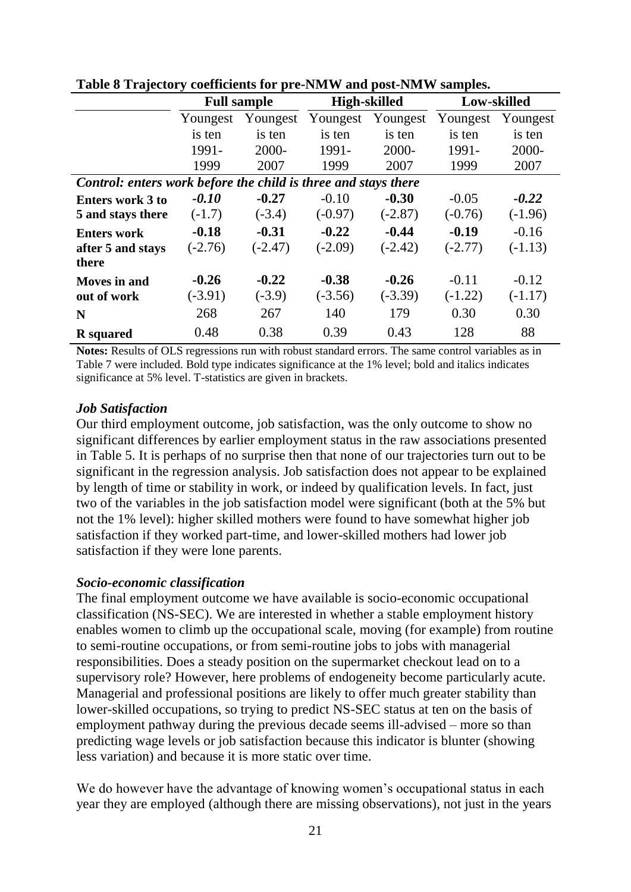|                                                                | <b>Full sample</b> |           |           | <b>High-skilled</b> |           | Low-skilled |
|----------------------------------------------------------------|--------------------|-----------|-----------|---------------------|-----------|-------------|
|                                                                | Youngest           | Youngest  | Youngest  | Youngest            | Youngest  | Youngest    |
|                                                                | is ten             | is ten    | is ten    | is ten              | is ten    | is ten      |
|                                                                | 1991-              | 2000-     | 1991-     | 2000-               | 1991-     | 2000-       |
|                                                                | 1999               | 2007      | 1999      | 2007                | 1999      | 2007        |
| Control: enters work before the child is three and stays there |                    |           |           |                     |           |             |
| <b>Enters work 3 to</b>                                        | $-0.10$            | $-0.27$   | $-0.10$   | $-0.30$             | $-0.05$   | $-0.22$     |
| 5 and stays there                                              | $(-1.7)$           | $(-3.4)$  | $(-0.97)$ | $(-2.87)$           | $(-0.76)$ | $(-1.96)$   |
| <b>Enters work</b>                                             | $-0.18$            | $-0.31$   | $-0.22$   | $-0.44$             | $-0.19$   | $-0.16$     |
| after 5 and stays                                              | $(-2.76)$          | $(-2.47)$ | $(-2.09)$ | $(-2.42)$           | $(-2.77)$ | $(-1.13)$   |
| there                                                          |                    |           |           |                     |           |             |
| <b>Moves in and</b>                                            | $-0.26$            | $-0.22$   | $-0.38$   | $-0.26$             | $-0.11$   | $-0.12$     |
| out of work                                                    | $(-3.91)$          | $(-3.9)$  | $(-3.56)$ | $(-3.39)$           | $(-1.22)$ | $(-1.17)$   |
| N                                                              | 268                | 267       | 140       | 179                 | 0.30      | 0.30        |
| <b>R</b> squared                                               | 0.48               | 0.38      | 0.39      | 0.43                | 128       | 88          |

**Table 8 Trajectory coefficients for pre-NMW and post-NMW samples.**

**Notes:** Results of OLS regressions run with robust standard errors. The same control variables as in Table 7 were included. Bold type indicates significance at the 1% level; bold and italics indicates significance at 5% level. T-statistics are given in brackets.

#### <span id="page-23-0"></span>*Job Satisfaction*

Our third employment outcome, job satisfaction, was the only outcome to show no significant differences by earlier employment status in the raw associations presented in Table 5. It is perhaps of no surprise then that none of our trajectories turn out to be significant in the regression analysis. Job satisfaction does not appear to be explained by length of time or stability in work, or indeed by qualification levels. In fact, just two of the variables in the job satisfaction model were significant (both at the 5% but not the 1% level): higher skilled mothers were found to have somewhat higher job satisfaction if they worked part-time, and lower-skilled mothers had lower job satisfaction if they were lone parents.

### <span id="page-23-1"></span>*Socio-economic classification*

The final employment outcome we have available is socio-economic occupational classification (NS-SEC). We are interested in whether a stable employment history enables women to climb up the occupational scale, moving (for example) from routine to semi-routine occupations, or from semi-routine jobs to jobs with managerial responsibilities. Does a steady position on the supermarket checkout lead on to a supervisory role? However, here problems of endogeneity become particularly acute. Managerial and professional positions are likely to offer much greater stability than lower-skilled occupations, so trying to predict NS-SEC status at ten on the basis of employment pathway during the previous decade seems ill-advised – more so than predicting wage levels or job satisfaction because this indicator is blunter (showing less variation) and because it is more static over time.

We do however have the advantage of knowing women's occupational status in each year they are employed (although there are missing observations), not just in the years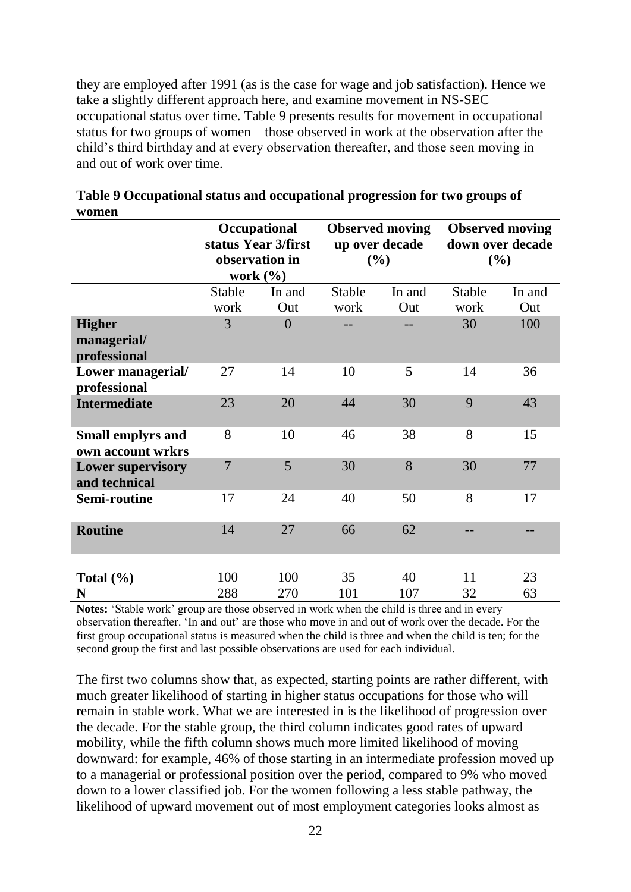they are employed after 1991 (as is the case for wage and job satisfaction). Hence we take a slightly different approach here, and examine movement in NS-SEC occupational status over time. Table 9 presents results for movement in occupational status for two groups of women – those observed in work at the observation after the child"s third birthday and at every observation thereafter, and those seen moving in and out of work over time.

|                          | Occupational<br>status Year 3/first |                | <b>Observed moving</b><br>up over decade |        | <b>Observed moving</b><br>down over decade |        |
|--------------------------|-------------------------------------|----------------|------------------------------------------|--------|--------------------------------------------|--------|
|                          |                                     |                |                                          |        |                                            |        |
|                          | observation in                      |                | (%)                                      |        | (%)                                        |        |
|                          | work $(\% )$                        |                |                                          |        |                                            |        |
|                          | Stable                              | In and         | Stable                                   | In and | Stable                                     | In and |
|                          | work                                | Out            | work                                     | Out    | work                                       | Out    |
| <b>Higher</b>            | 3                                   | $\overline{0}$ |                                          |        | 30                                         | 100    |
| managerial/              |                                     |                |                                          |        |                                            |        |
| professional             |                                     |                |                                          |        |                                            |        |
| Lower managerial/        | 27                                  | 14             | 10                                       | 5      | 14                                         | 36     |
| professional             |                                     |                |                                          |        |                                            |        |
| <b>Intermediate</b>      | 23                                  | 20             | 44                                       | 30     | 9                                          | 43     |
|                          |                                     |                |                                          |        |                                            |        |
| <b>Small emplyrs and</b> | 8                                   | 10             | 46                                       | 38     | 8                                          | 15     |
| own account wrkrs        |                                     |                |                                          |        |                                            |        |
| <b>Lower supervisory</b> | $\overline{7}$                      | 5              | 30                                       | 8      | 30                                         | 77     |
| and technical            |                                     |                |                                          |        |                                            |        |
| Semi-routine             | 17                                  | 24             | 40                                       | 50     | 8                                          | 17     |
|                          |                                     |                |                                          |        |                                            |        |
| <b>Routine</b>           | 14                                  | 27             | 66                                       | 62     |                                            |        |
|                          |                                     |                |                                          |        |                                            |        |
|                          |                                     |                |                                          |        |                                            |        |
| Total $(\% )$            | 100                                 | 100            | 35                                       | 40     | 11                                         | 23     |
| N                        | 288                                 | 270            | 101                                      | 107    | 32                                         | 63     |

| Table 9 Occupational status and occupational progression for two groups of |  |
|----------------------------------------------------------------------------|--|
| women                                                                      |  |

**Notes:** 'Stable work' group are those observed in work when the child is three and in every observation thereafter. "In and out" are those who move in and out of work over the decade. For the first group occupational status is measured when the child is three and when the child is ten; for the second group the first and last possible observations are used for each individual.

The first two columns show that, as expected, starting points are rather different, with much greater likelihood of starting in higher status occupations for those who will remain in stable work. What we are interested in is the likelihood of progression over the decade. For the stable group, the third column indicates good rates of upward mobility, while the fifth column shows much more limited likelihood of moving downward: for example, 46% of those starting in an intermediate profession moved up to a managerial or professional position over the period, compared to 9% who moved down to a lower classified job. For the women following a less stable pathway, the likelihood of upward movement out of most employment categories looks almost as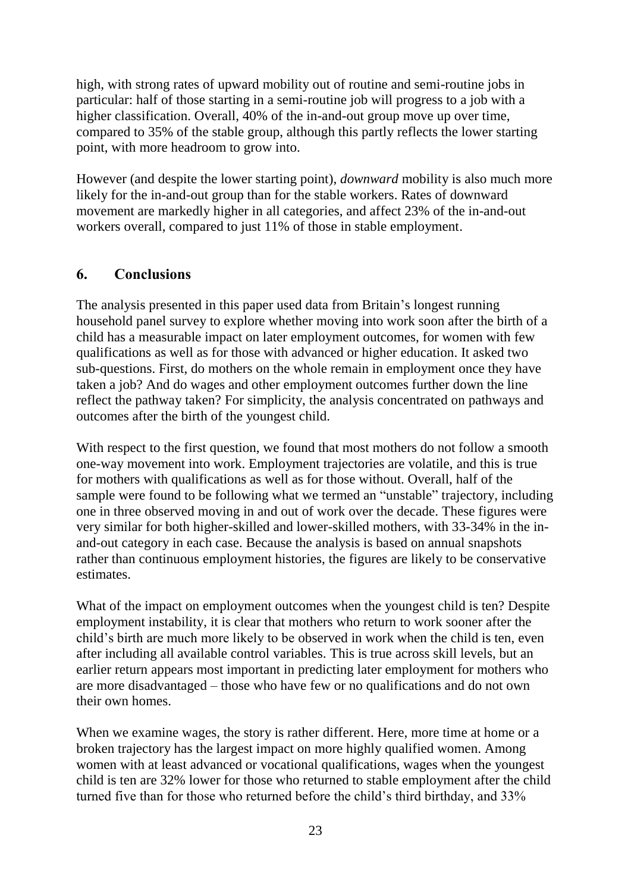high, with strong rates of upward mobility out of routine and semi-routine jobs in particular: half of those starting in a semi-routine job will progress to a job with a higher classification. Overall, 40% of the in-and-out group move up over time, compared to 35% of the stable group, although this partly reflects the lower starting point, with more headroom to grow into.

However (and despite the lower starting point), *downward* mobility is also much more likely for the in-and-out group than for the stable workers. Rates of downward movement are markedly higher in all categories, and affect 23% of the in-and-out workers overall, compared to just 11% of those in stable employment.

## <span id="page-25-0"></span>**6. Conclusions**

The analysis presented in this paper used data from Britain's longest running household panel survey to explore whether moving into work soon after the birth of a child has a measurable impact on later employment outcomes, for women with few qualifications as well as for those with advanced or higher education. It asked two sub-questions. First, do mothers on the whole remain in employment once they have taken a job? And do wages and other employment outcomes further down the line reflect the pathway taken? For simplicity, the analysis concentrated on pathways and outcomes after the birth of the youngest child.

With respect to the first question, we found that most mothers do not follow a smooth one-way movement into work. Employment trajectories are volatile, and this is true for mothers with qualifications as well as for those without. Overall, half of the sample were found to be following what we termed an "unstable" trajectory, including one in three observed moving in and out of work over the decade. These figures were very similar for both higher-skilled and lower-skilled mothers, with 33-34% in the inand-out category in each case. Because the analysis is based on annual snapshots rather than continuous employment histories, the figures are likely to be conservative estimates.

What of the impact on employment outcomes when the youngest child is ten? Despite employment instability, it is clear that mothers who return to work sooner after the child"s birth are much more likely to be observed in work when the child is ten, even after including all available control variables. This is true across skill levels, but an earlier return appears most important in predicting later employment for mothers who are more disadvantaged – those who have few or no qualifications and do not own their own homes.

When we examine wages, the story is rather different. Here, more time at home or a broken trajectory has the largest impact on more highly qualified women. Among women with at least advanced or vocational qualifications, wages when the youngest child is ten are 32% lower for those who returned to stable employment after the child turned five than for those who returned before the child"s third birthday, and 33%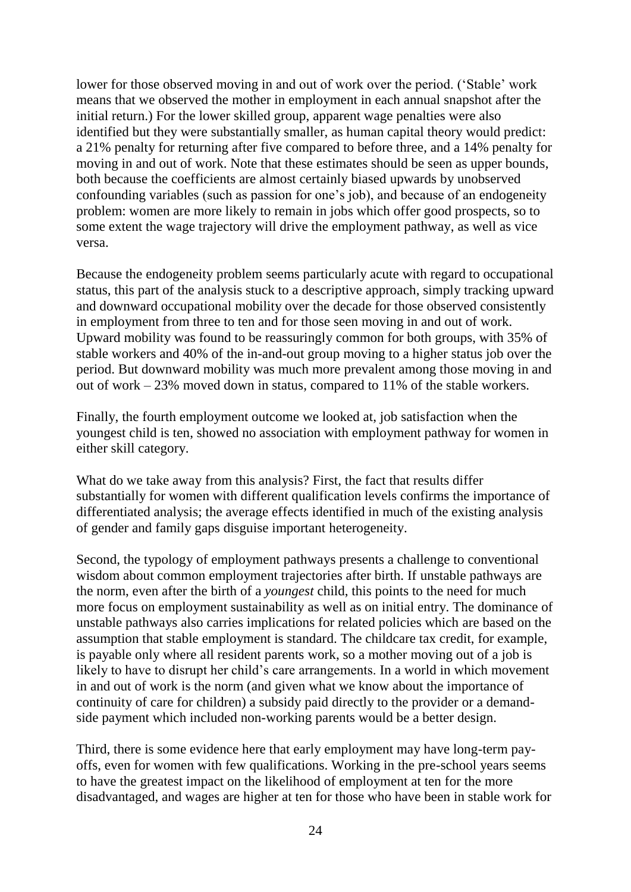lower for those observed moving in and out of work over the period. ("Stable" work means that we observed the mother in employment in each annual snapshot after the initial return.) For the lower skilled group, apparent wage penalties were also identified but they were substantially smaller, as human capital theory would predict: a 21% penalty for returning after five compared to before three, and a 14% penalty for moving in and out of work. Note that these estimates should be seen as upper bounds, both because the coefficients are almost certainly biased upwards by unobserved confounding variables (such as passion for one"s job), and because of an endogeneity problem: women are more likely to remain in jobs which offer good prospects, so to some extent the wage trajectory will drive the employment pathway, as well as vice versa.

Because the endogeneity problem seems particularly acute with regard to occupational status, this part of the analysis stuck to a descriptive approach, simply tracking upward and downward occupational mobility over the decade for those observed consistently in employment from three to ten and for those seen moving in and out of work. Upward mobility was found to be reassuringly common for both groups, with 35% of stable workers and 40% of the in-and-out group moving to a higher status job over the period. But downward mobility was much more prevalent among those moving in and out of work – 23% moved down in status, compared to 11% of the stable workers.

Finally, the fourth employment outcome we looked at, job satisfaction when the youngest child is ten, showed no association with employment pathway for women in either skill category.

What do we take away from this analysis? First, the fact that results differ substantially for women with different qualification levels confirms the importance of differentiated analysis; the average effects identified in much of the existing analysis of gender and family gaps disguise important heterogeneity.

Second, the typology of employment pathways presents a challenge to conventional wisdom about common employment trajectories after birth. If unstable pathways are the norm, even after the birth of a *youngest* child, this points to the need for much more focus on employment sustainability as well as on initial entry. The dominance of unstable pathways also carries implications for related policies which are based on the assumption that stable employment is standard. The childcare tax credit, for example, is payable only where all resident parents work, so a mother moving out of a job is likely to have to disrupt her child's care arrangements. In a world in which movement in and out of work is the norm (and given what we know about the importance of continuity of care for children) a subsidy paid directly to the provider or a demandside payment which included non-working parents would be a better design.

Third, there is some evidence here that early employment may have long-term payoffs, even for women with few qualifications. Working in the pre-school years seems to have the greatest impact on the likelihood of employment at ten for the more disadvantaged, and wages are higher at ten for those who have been in stable work for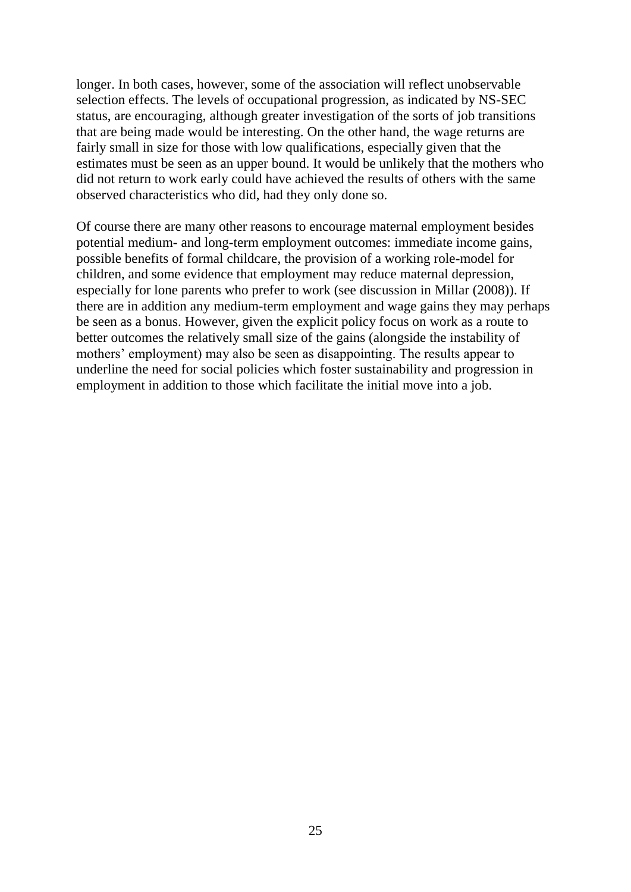longer. In both cases, however, some of the association will reflect unobservable selection effects. The levels of occupational progression, as indicated by NS-SEC status, are encouraging, although greater investigation of the sorts of job transitions that are being made would be interesting. On the other hand, the wage returns are fairly small in size for those with low qualifications, especially given that the estimates must be seen as an upper bound. It would be unlikely that the mothers who did not return to work early could have achieved the results of others with the same observed characteristics who did, had they only done so.

Of course there are many other reasons to encourage maternal employment besides potential medium- and long-term employment outcomes: immediate income gains, possible benefits of formal childcare, the provision of a working role-model for children, and some evidence that employment may reduce maternal depression, especially for lone parents who prefer to work (see discussion in Millar (2008)). If there are in addition any medium-term employment and wage gains they may perhaps be seen as a bonus. However, given the explicit policy focus on work as a route to better outcomes the relatively small size of the gains (alongside the instability of mothers' employment) may also be seen as disappointing. The results appear to underline the need for social policies which foster sustainability and progression in employment in addition to those which facilitate the initial move into a job.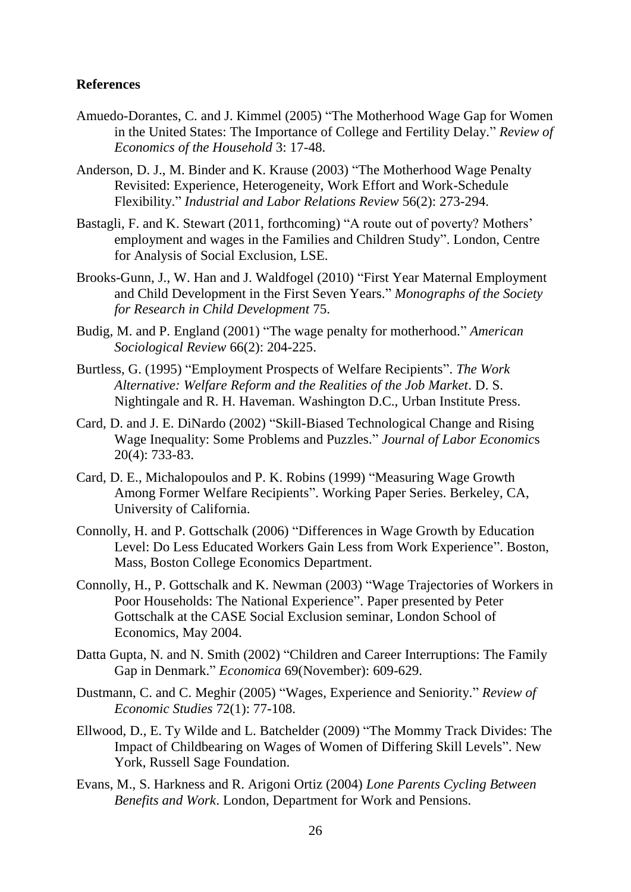#### **References**

- Amuedo-Dorantes, C. and J. Kimmel (2005) "The Motherhood Wage Gap for Women in the United States: The Importance of College and Fertility Delay." *Review of Economics of the Household* 3: 17-48.
- Anderson, D. J., M. Binder and K. Krause (2003) "The Motherhood Wage Penalty Revisited: Experience, Heterogeneity, Work Effort and Work-Schedule Flexibility." *Industrial and Labor Relations Review* 56(2): 273-294.
- Bastagli, F. and K. Stewart (2011, forthcoming) "A route out of poverty? Mothers' employment and wages in the Families and Children Study". London, Centre for Analysis of Social Exclusion, LSE.
- Brooks-Gunn, J., W. Han and J. Waldfogel (2010) "First Year Maternal Employment and Child Development in the First Seven Years." *Monographs of the Society for Research in Child Development* 75.
- Budig, M. and P. England (2001) "The wage penalty for motherhood." *American Sociological Review* 66(2): 204-225.
- Burtless, G. (1995) "Employment Prospects of Welfare Recipients". *The Work Alternative: Welfare Reform and the Realities of the Job Market*. D. S. Nightingale and R. H. Haveman. Washington D.C., Urban Institute Press.
- Card, D. and J. E. DiNardo (2002) "Skill-Biased Technological Change and Rising Wage Inequality: Some Problems and Puzzles." *Journal of Labor Economic*s 20(4): 733-83.
- Card, D. E., Michalopoulos and P. K. Robins (1999) "Measuring Wage Growth Among Former Welfare Recipients". Working Paper Series. Berkeley, CA, University of California.
- Connolly, H. and P. Gottschalk (2006) "Differences in Wage Growth by Education Level: Do Less Educated Workers Gain Less from Work Experience". Boston, Mass, Boston College Economics Department.
- Connolly, H., P. Gottschalk and K. Newman (2003) "Wage Trajectories of Workers in Poor Households: The National Experience". Paper presented by Peter Gottschalk at the CASE Social Exclusion seminar, London School of Economics, May 2004.
- Datta Gupta, N. and N. Smith (2002) "Children and Career Interruptions: The Family Gap in Denmark." *Economica* 69(November): 609-629.
- Dustmann, C. and C. Meghir (2005) "Wages, Experience and Seniority." *Review of Economic Studies* 72(1): 77-108.
- Ellwood, D., E. Ty Wilde and L. Batchelder (2009) "The Mommy Track Divides: The Impact of Childbearing on Wages of Women of Differing Skill Levels". New York, Russell Sage Foundation.
- Evans, M., S. Harkness and R. Arigoni Ortiz (2004) *Lone Parents Cycling Between Benefits and Work*. London, Department for Work and Pensions.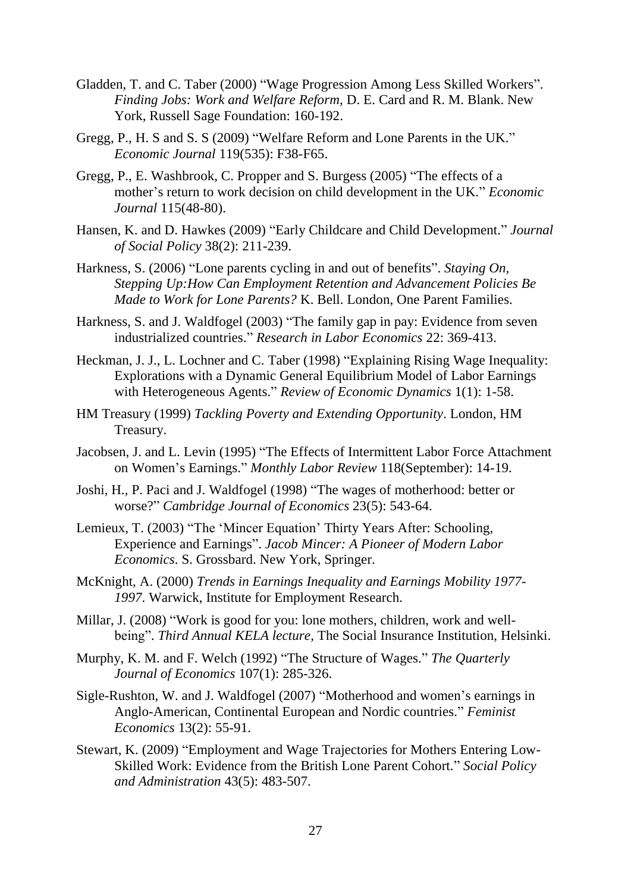- Gladden, T. and C. Taber (2000) "Wage Progression Among Less Skilled Workers". *Finding Jobs: Work and Welfare Reform,* D. E. Card and R. M. Blank. New York, Russell Sage Foundation: 160-192.
- Gregg, P., H. S and S. S (2009) "Welfare Reform and Lone Parents in the UK." *Economic Journal* 119(535): F38-F65.
- Gregg, P., E. Washbrook, C. Propper and S. Burgess (2005) "The effects of a mother"s return to work decision on child development in the UK." *Economic Journal* 115(48-80).
- Hansen, K. and D. Hawkes (2009) "Early Childcare and Child Development." *Journal of Social Policy* 38(2): 211-239.
- Harkness, S. (2006) "Lone parents cycling in and out of benefits". *Staying On, Stepping Up:How Can Employment Retention and Advancement Policies Be Made to Work for Lone Parents?* K. Bell. London, One Parent Families.
- Harkness, S. and J. Waldfogel (2003) "The family gap in pay: Evidence from seven industrialized countries." *Research in Labor Economics* 22: 369-413.
- Heckman, J. J., L. Lochner and C. Taber (1998) "Explaining Rising Wage Inequality: Explorations with a Dynamic General Equilibrium Model of Labor Earnings with Heterogeneous Agents." *Review of Economic Dynamics* 1(1): 1-58.
- HM Treasury (1999) *Tackling Poverty and Extending Opportunity*. London, HM Treasury.
- Jacobsen, J. and L. Levin (1995) "The Effects of Intermittent Labor Force Attachment on Women"s Earnings." *Monthly Labor Review* 118(September): 14-19.
- Joshi, H., P. Paci and J. Waldfogel (1998) "The wages of motherhood: better or worse?" *Cambridge Journal of Economics* 23(5): 543-64.
- Lemieux, T. (2003) "The "Mincer Equation" Thirty Years After: Schooling, Experience and Earnings". *Jacob Mincer: A Pioneer of Modern Labor Economics*. S. Grossbard. New York, Springer.
- McKnight, A. (2000) *Trends in Earnings Inequality and Earnings Mobility 1977- 1997*. Warwick, Institute for Employment Research.
- Millar, J. (2008) "Work is good for you: lone mothers, children, work and wellbeing". *Third Annual KELA lecture,* The Social Insurance Institution, Helsinki.
- Murphy, K. M. and F. Welch (1992) "The Structure of Wages." *The Quarterly Journal of Economics* 107(1): 285-326.
- Sigle-Rushton, W. and J. Waldfogel (2007) "Motherhood and women"s earnings in Anglo-American, Continental European and Nordic countries." *Feminist Economics* 13(2): 55-91.
- Stewart, K. (2009) "Employment and Wage Trajectories for Mothers Entering Low-Skilled Work: Evidence from the British Lone Parent Cohort." *Social Policy and Administration* 43(5): 483-507.